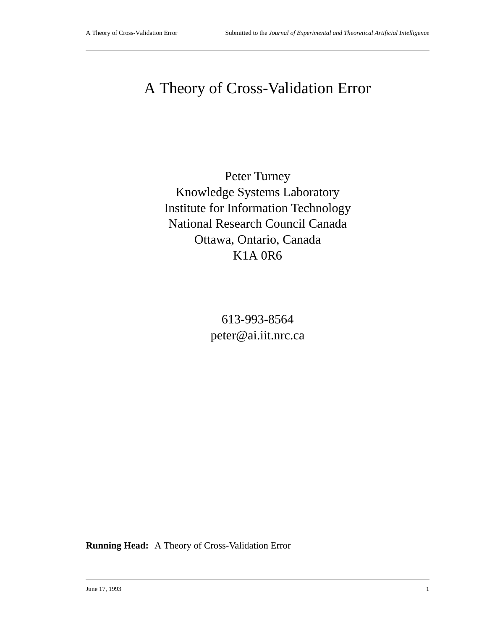# A Theory of Cross-Validation Error

Peter Turney Knowledge Systems Laboratory Institute for Information Technology National Research Council Canada Ottawa, Ontario, Canada K1A 0R6

> 613-993-8564 peter@ai.iit.nrc.ca

**Running Head:** A Theory of Cross-Validation Error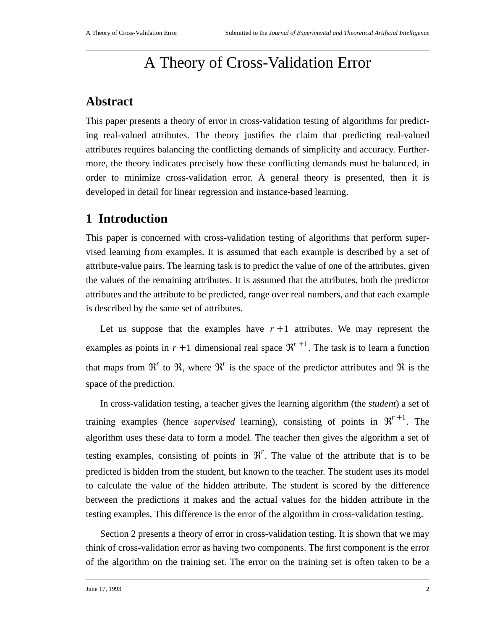## A Theory of Cross-Validation Error

## **Abstract**

This paper presents a theory of error in cross-validation testing of algorithms for predicting real-valued attributes. The theory justifies the claim that predicting real-valued attributes requires balancing the conflicting demands of simplicity and accuracy. Furthermore, the theory indicates precisely how these conflicting demands must be balanced, in order to minimize cross-validation error. A general theory is presented, then it is developed in detail for linear regression and instance-based learning.

## **1 Introduction**

This paper is concerned with cross-validation testing of algorithms that perform supervised learning from examples. It is assumed that each example is described by a set of attribute-value pairs. The learning task is to predict the value of one of the attributes, given the values of the remaining attributes. It is assumed that the attributes, both the predictor attributes and the attribute to be predicted, range over real numbers, and that each example is described by the same set of attributes.

Let us suppose that the examples have  $r + 1$  attributes. We may represent the examples as points in  $r + 1$  dimensional real space  $\mathfrak{R}^{r+1}$ . The task is to learn a function that maps from  $\mathfrak{R}^r$  to  $\mathfrak{R}$ , where  $\mathfrak{R}^r$  is the space of the predictor attributes and  $\mathfrak{R}$  is the space of the prediction.

In cross-validation testing, a teacher gives the learning algorithm (the *student*) a set of training examples (hence *supervised* learning), consisting of points in  $\mathfrak{R}^{r+1}$ . The algorithm uses these data to form a model. The teacher then gives the algorithm a set of testing examples, consisting of points in  $\mathfrak{R}^r$ . The value of the attribute that is to be predicted is hidden from the student, but known to the teacher. The student uses its model to calculate the value of the hidden attribute. The student is scored by the difference between the predictions it makes and the actual values for the hidden attribute in the testing examples. This difference is the error of the algorithm in cross-validation testing.

Section 2 presents a theory of error in cross-validation testing. It is shown that we may think of cross-validation error as having two components. The first component is the error of the algorithm on the training set. The error on the training set is often taken to be a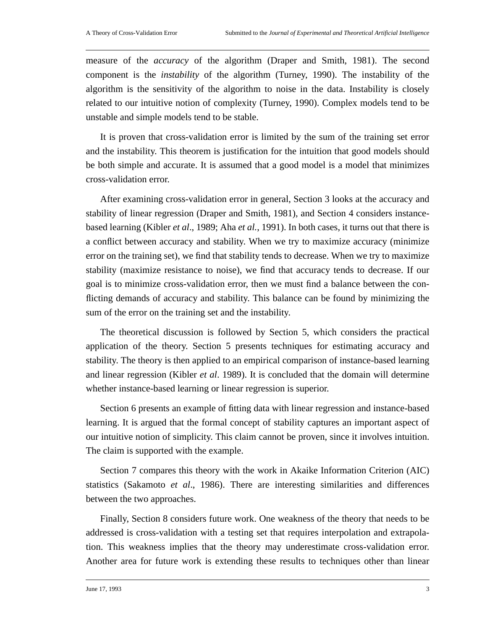measure of the *accuracy* of the algorithm (Draper and Smith, 1981). The second component is the *instability* of the algorithm (Turney, 1990). The instability of the algorithm is the sensitivity of the algorithm to noise in the data. Instability is closely related to our intuitive notion of complexity (Turney, 1990). Complex models tend to be unstable and simple models tend to be stable.

It is proven that cross-validation error is limited by the sum of the training set error and the instability. This theorem is justification for the intuition that good models should be both simple and accurate. It is assumed that a good model is a model that minimizes cross-validation error.

After examining cross-validation error in general, Section 3 looks at the accuracy and stability of linear regression (Draper and Smith, 1981), and Section 4 considers instancebased learning (Kibler *et al*., 1989; Aha *et al.*, 1991). In both cases, it turns out that there is a conflict between accuracy and stability. When we try to maximize accuracy (minimize error on the training set), we find that stability tends to decrease. When we try to maximize stability (maximize resistance to noise), we find that accuracy tends to decrease. If our goal is to minimize cross-validation error, then we must find a balance between the conflicting demands of accuracy and stability. This balance can be found by minimizing the sum of the error on the training set and the instability.

The theoretical discussion is followed by Section 5, which considers the practical application of the theory. Section 5 presents techniques for estimating accuracy and stability. The theory is then applied to an empirical comparison of instance-based learning and linear regression (Kibler *et al*. 1989). It is concluded that the domain will determine whether instance-based learning or linear regression is superior.

Section 6 presents an example of fitting data with linear regression and instance-based learning. It is argued that the formal concept of stability captures an important aspect of our intuitive notion of simplicity. This claim cannot be proven, since it involves intuition. The claim is supported with the example.

Section 7 compares this theory with the work in Akaike Information Criterion (AIC) statistics (Sakamoto *et al*., 1986). There are interesting similarities and differences between the two approaches.

Finally, Section 8 considers future work. One weakness of the theory that needs to be addressed is cross-validation with a testing set that requires interpolation and extrapolation. This weakness implies that the theory may underestimate cross-validation error. Another area for future work is extending these results to techniques other than linear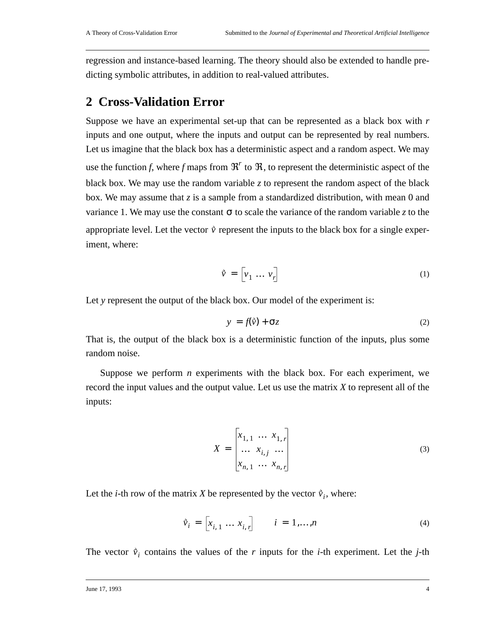regression and instance-based learning. The theory should also be extended to handle predicting symbolic attributes, in addition to real-valued attributes.

### **2 Cross-Validation Error**

Suppose we have an experimental set-up that can be represented as a black box with *r* inputs and one output, where the inputs and output can be represented by real numbers. Let us imagine that the black box has a deterministic aspect and a random aspect. We may use the function *f*, where *f* maps from  $\mathfrak{R}^r$  to  $\mathfrak{R}$ , to represent the deterministic aspect of the black box. We may use the random variable  $z$  to represent the random aspect of the black box. We may assume that *z* is a sample from a standardized distribution, with mean 0 and variance 1. We may use the constant  $\sigma$  to scale the variance of the random variable *z* to the appropriate level. Let the vector  $\vec{v}$  represent the inputs to the black box for a single experiment, where:

$$
\vec{\mathbf{v}} = \begin{bmatrix} v_1 & \dots & v_r \end{bmatrix} \tag{1}
$$

Let y represent the output of the black box. Our model of the experiment is:

$$
y = f(\tilde{v}) + \sigma z \tag{2}
$$

That is, the output of the black box is a deterministic function of the inputs, plus some random noise.

Suppose we perform *n* experiments with the black box. For each experiment, we record the input values and the output value. Let us use the matrix *X* to represent all of the inputs:

$$
X = \begin{bmatrix} x_{1,1} & \dots & x_{1,r} \\ \dots & x_{i,j} & \dots \\ x_{n,1} & \dots & x_{n,r} \end{bmatrix}
$$
 (3)

Let the *i*-th row of the matrix *X* be represented by the vector  $\vec{v}_i$ , where:

$$
\hat{v}_i = [x_{i,1} \dots x_{i,r}] \qquad i = 1,...,n
$$
 (4)

The vector  $\vec{v}_i$  contains the values of the *r* inputs for the *i*-th experiment. Let the *j*-th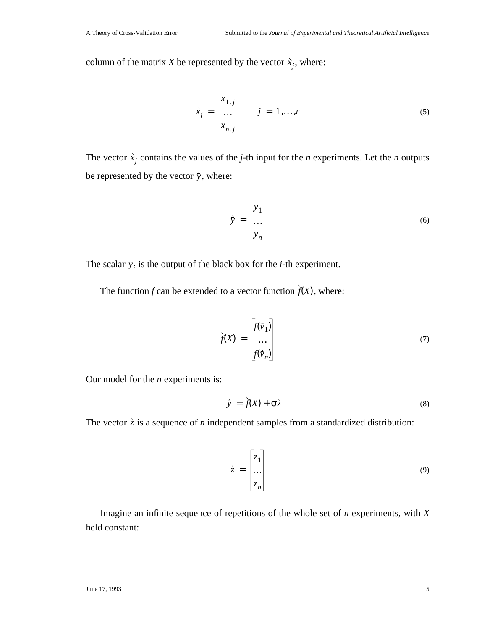column of the matrix *X* be represented by the vector  $\vec{x}_j$ , where:

$$
\hat{x}_j = \begin{bmatrix} x_{1,j} \\ \dots \\ x_{n,j} \end{bmatrix} \qquad j = 1, \dots, r \tag{5}
$$

The vector  $\dot{x}_j$  contains the values of the *j*-th input for the *n* experiments. Let the *n* outputs be represented by the vector  $\dot{y}$ , where:

$$
\tilde{y} = \begin{bmatrix} y_1 \\ \dots \\ y_n \end{bmatrix} \tag{6}
$$

The scalar  $y_i$  is the output of the black box for the *i*-th experiment.

The function  $f$  can be extended to a vector function  $\hat{f}(X)$ , where:

$$
\tilde{f}(X) = \begin{bmatrix} f(\tilde{v}_1) \\ \dots \\ f(\tilde{v}_n) \end{bmatrix}
$$
 (7)

Our model for the *n* experiments is:

$$
\vec{y} = \dot{f}(X) + \sigma \dot{z}
$$
 (8)

The vector  $\dot{z}$  is a sequence of *n* independent samples from a standardized distribution:

$$
\dot{\bar{z}} = \begin{bmatrix} z_1 \\ \dots \\ z_n \end{bmatrix} \tag{9}
$$

Imagine an infinite sequence of repetitions of the whole set of *n* experiments, with *X* held constant: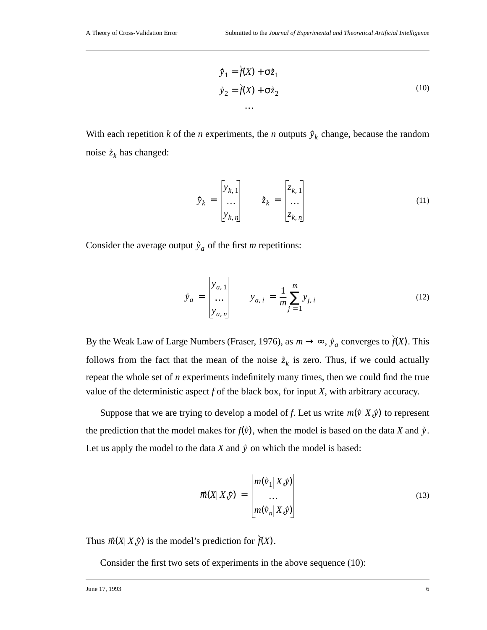$$
\vec{y}_1 = \dot{\vec{f}}(X) + \sigma \dot{z}_1
$$
\n
$$
\vec{y}_2 = \dot{\vec{f}}(X) + \sigma \dot{z}_2
$$
\n
$$
\dots
$$
\n(10)

With each repetition *k* of the *n* experiments, the *n* outputs  $\hat{y}_k$  change, because the random noise  $\dot{z}_k$  has changed:

$$
\tilde{y}_k = \begin{bmatrix} y_{k,1} \\ \dots \\ y_{k,n} \end{bmatrix} \qquad \tilde{z}_k = \begin{bmatrix} z_{k,1} \\ \dots \\ z_{k,n} \end{bmatrix}
$$
\n(11)

Consider the average output  $\hat{y}_a$  of the first *m* repetitions:

$$
\tilde{y}_a = \begin{bmatrix} y_{a,1} \\ \dots \\ y_{a,n} \end{bmatrix} \qquad y_{a,i} = \frac{1}{m} \sum_{j=1}^m y_{j,i}
$$
\n(12)

By the Weak Law of Large Numbers (Fraser, 1976), as  $m \to \infty$ ,  $\dot{y}_a$  converges to  $\dot{f}(X)$ . This follows from the fact that the mean of the noise  $\dot{z}_k$  is zero. Thus, if we could actually repeat the whole set of *n* experiments indefinitely many times, then we could find the true value of the deterministic aspect *f* of the black box, for input *X*, with arbitrary accuracy.

Suppose that we are trying to develop a model of f. Let us write  $m(\vec{v} | X, \vec{y})$  to represent the prediction that the model makes for  $f(\vec{v})$ , when the model is based on the data *X* and  $\dot{y}$ . Let us apply the model to the data *X* and  $\dot{y}$  on which the model is based:

$$
\overrightarrow{m}(X|X,\overrightarrow{y}) = \begin{bmatrix} m(\overrightarrow{v}_1|X,\overrightarrow{y}) \\ \dots \\ m(\overrightarrow{v}_n|X,\overrightarrow{y}) \end{bmatrix}
$$
(13)

Thus  $\vec{m}(X|X,\hat{y})$  is the model's prediction for  $f(X)$ .

Consider the first two sets of experiments in the above sequence (10):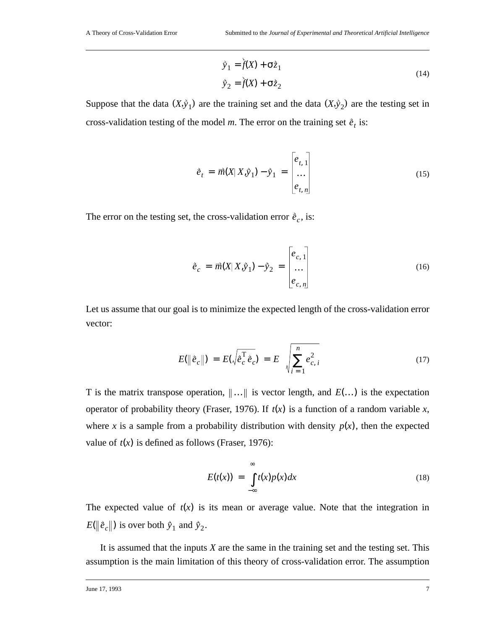$$
\begin{aligned}\n\hat{y}_1 &= \dot{f}(X) + \sigma \dot{z}_1 \\
\hat{y}_2 &= \dot{f}(X) + \sigma \dot{z}_2\n\end{aligned}
$$
\n(14)

Suppose that the data  $(X, \hat{y}_1)$  are the training set and the data  $(X, \hat{y}_2)$  are the testing set in cross-validation testing of the model *m*. The error on the training set  $\hat{e}_t$  is:

$$
\dot{e}_t = \overrightarrow{m}(X|X,\hat{y}_1) - \hat{y}_1 = \begin{bmatrix} e_{t,1} \\ \dots \\ e_{t,n} \end{bmatrix}
$$
(15)

The error on the testing set, the cross-validation error  $\hat{e}_c$ , is:

$$
\dot{e}_c = \vec{m}(X|X,\dot{y}_1) - \dot{y}_2 = \begin{bmatrix} e_{c,1} \\ \dots \\ e_{c,n} \end{bmatrix}
$$
(16)

Let us assume that our goal is to minimize the expected length of the cross-validation error vector:

$$
E(\|\hat{e}_c\|) = E(\sqrt{\hat{e}_c^T \hat{e}_c}) = E\left(\sqrt{\sum_{i=1}^n e_{c,i}^2}\right)
$$
 (17)

T is the matrix transpose operation,  $\|\ldots\|$  is vector length, and  $E(\ldots)$  is the expectation operator of probability theory (Fraser, 1976). If  $t(x)$  is a function of a random variable x, where x is a sample from a probability distribution with density  $p(x)$ , then the expected value of  $t(x)$  is defined as follows (Fraser, 1976):

$$
E(t(x)) = \int_{-\infty}^{\infty} t(x)p(x)dx
$$
 (18)

The expected value of  $t(x)$  is its mean or average value. Note that the integration in  $E(\|\tilde{e}_c\|)$  is over both  $\tilde{y}_1$  and  $\tilde{y}_2$ .

It is assumed that the inputs *X* are the same in the training set and the testing set. This assumption is the main limitation of this theory of cross-validation error. The assumption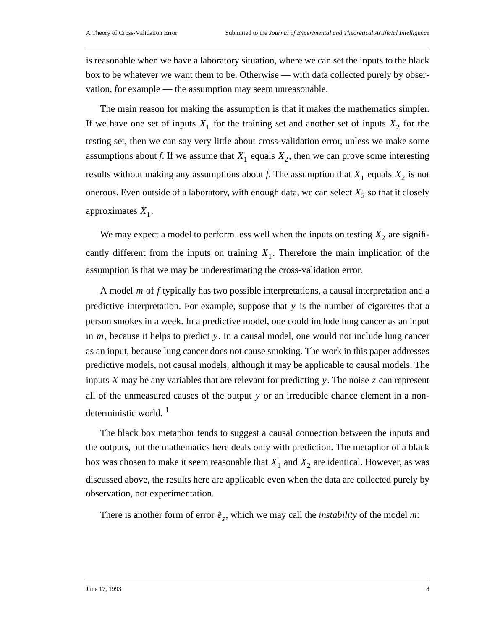is reasonable when we have a laboratory situation, where we can set the inputs to the black box to be whatever we want them to be. Otherwise — with data collected purely by observation, for example — the assumption may seem unreasonable.

The main reason for making the assumption is that it makes the mathematics simpler. If we have one set of inputs  $X_1$  for the training set and another set of inputs  $X_2$  for the testing set, then we can say very little about cross-validation error, unless we make some assumptions about *f*. If we assume that  $X_1$  equals  $X_2$ , then we can prove some interesting results without making any assumptions about *f*. The assumption that  $X_1$  equals  $X_2$  is not onerous. Even outside of a laboratory, with enough data, we can select  $X_2$  so that it closely approximates  $X_1$ .

We may expect a model to perform less well when the inputs on testing  $X_2$  are significantly different from the inputs on training  $X_1$ . Therefore the main implication of the assumption is that we may be underestimating the cross-validation error.

A model *m* of *f* typically has two possible interpretations, a causal interpretation and a predictive interpretation. For example, suppose that y is the number of cigarettes that a person smokes in a week. In a predictive model, one could include lung cancer as an input in *m*, because it helps to predict y. In a causal model, one would not include lung cancer as an input, because lung cancer does not cause smoking. The work in this paper addresses predictive models, not causal models, although it may be applicable to causal models. The inputs  $X$  may be any variables that are relevant for predicting  $y$ . The noise  $z$  can represent all of the unmeasured causes of the output y or an irreducible chance element in a nondeterministic world.<sup>1</sup>

The black box metaphor tends to suggest a causal connection between the inputs and the outputs, but the mathematics here deals only with prediction. The metaphor of a black box was chosen to make it seem reasonable that  $X_1$  and  $X_2$  are identical. However, as was discussed above, the results here are applicable even when the data are collected purely by observation, not experimentation.

There is another form of error  $\hat{e}_s$ , which we may call the *instability* of the model *m*: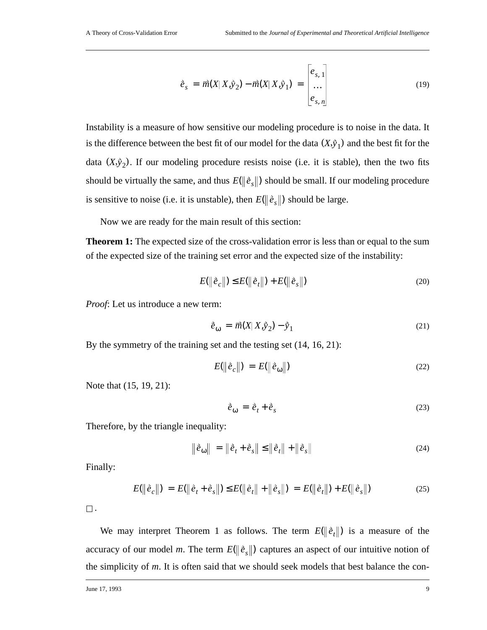$$
\vec{e}_s = \vec{m}(X | X, \vec{y}_2) - \vec{m}(X | X, \vec{y}_1) = \begin{bmatrix} e_{s,1} \\ \dots \\ e_{s,n} \end{bmatrix}
$$
(19)

Instability is a measure of how sensitive our modeling procedure is to noise in the data. It is the difference between the best fit of our model for the data  $(X, \tilde{y}_1)$  and the best fit for the data  $(X, \hat{y}_2)$ . If our modeling procedure resists noise (i.e. it is stable), then the two fits should be virtually the same, and thus  $E(\left\|\hat{e}_s\right\|)$  should be small. If our modeling procedure is sensitive to noise (i.e. it is unstable), then  $E(\|\tilde{e}_s\|)$  should be large.

Now we are ready for the main result of this section:

**Theorem 1:** The expected size of the cross-validation error is less than or equal to the sum of the expected size of the training set error and the expected size of the instability:

$$
E(||\hat{e}_c||) \le E(||\hat{e}_t||) + E(||\hat{e}_s||)
$$
\n(20)

*Proof*: Let us introduce a new term:

$$
\dot{\vec{e}}_{\omega} = \vec{m}(X|X,\dot{y}_2) - \dot{y}_1 \tag{21}
$$

By the symmetry of the training set and the testing set (14, 16, 21):

$$
E(\left\|\tilde{e}_c\right\|) = E(\left\|\tilde{e}_\omega\right\|) \tag{22}
$$

Note that (15, 19, 21):

$$
\dot{\vec{e}}_{\omega} = \dot{\vec{e}}_t + \dot{\vec{e}}_s \tag{23}
$$

Therefore, by the triangle inequality:

$$
\left| \hat{e}_{\omega} \right| = \left\| \hat{e}_t + \hat{e}_s \right\| \le \left\| \hat{e}_t \right\| + \left\| \hat{e}_s \right\| \tag{24}
$$

Finally:

$$
E(\|\hat{e}_c\|) = E(\|\hat{e}_t + \hat{e}_s\|) \le E(\|\hat{e}_t\| + \|\hat{e}_s\|) = E(\|\hat{e}_t\|) + E(\|\hat{e}_s\|)
$$
(25)

 $\square$ .

We may interpret Theorem 1 as follows. The term  $E(\|\hat{e}_t\|)$  is a measure of the accuracy of our model *m*. The term  $E(\|\tilde{e}_s\|)$  captures an aspect of our intuitive notion of the simplicity of *m*. It is often said that we should seek models that best balance the con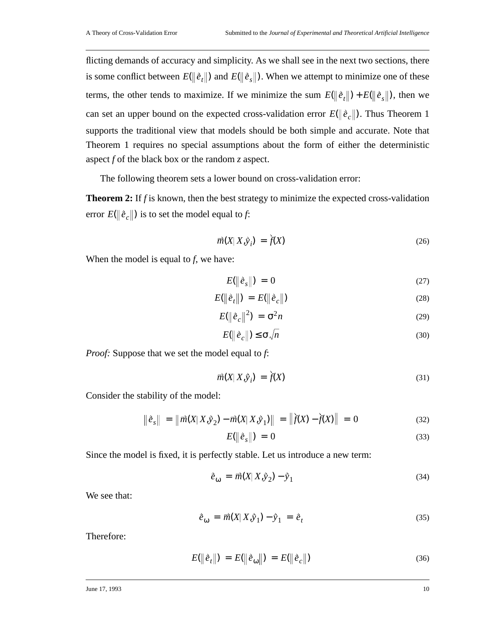flicting demands of accuracy and simplicity. As we shall see in the next two sections, there is some conflict between  $E(\|\tilde{e}_t\|)$  and  $E(\|\tilde{e}_s\|)$ . When we attempt to minimize one of these terms, the other tends to maximize. If we minimize the sum  $E(\|\hat{e}_t\|) + E(\|\hat{e}_s\|)$ , then we can set an upper bound on the expected cross-validation error  $E(\|\tilde{e}_c\|)$ . Thus Theorem 1 supports the traditional view that models should be both simple and accurate. Note that Theorem 1 requires no special assumptions about the form of either the deterministic aspect *f* of the black box or the random *z* aspect.

The following theorem sets a lower bound on cross-validation error:

**Theorem 2:** If *f* is known, then the best strategy to minimize the expected cross-validation error  $E(\|\tilde{e}_c\|)$  is to set the model equal to *f*:

$$
\vec{m}(X|X,\vec{y}_i) = \vec{f}(X) \tag{26}
$$

When the model is equal to *f*, we have:

$$
E(\left\|\hat{e}_s\right\|) = 0 \tag{27}
$$

$$
E(\left\|\hat{e}_t\right\|) = E(\left\|\hat{e}_c\right\|) \tag{28}
$$

$$
E(\left\|\hat{e}_c\right\|^2) = \sigma^2 n \tag{29}
$$

$$
E(\left\|\tilde{e}_c\right\|) \leq \sigma \sqrt{n} \tag{30}
$$

*Proof:* Suppose that we set the model equal to *f*:

$$
\vec{m}(X|X,\vec{y}_i) = \dot{f}(X) \tag{31}
$$

Consider the stability of the model:

$$
\|\tilde{e}_s\| = \|\vec{m}(X|X,\tilde{y}_2) - \vec{m}(X|X,\tilde{y}_1)\| = \|\tilde{f}(X) - \dot{f}(X)\| = 0
$$
\n(32)

$$
E(\left\|\hat{e}_s\right\|) = 0 \tag{33}
$$

Since the model is fixed, it is perfectly stable. Let us introduce a new term:

$$
\dot{\vec{e}}_{\omega} = \vec{m}(X|X,\dot{y}_2) - \dot{y}_1 \tag{34}
$$

We see that:

$$
\dot{e}_{\omega} = \vec{m}(X|X,\dot{y}_1) - \dot{y}_1 = \dot{e}_t \tag{35}
$$

Therefore:

$$
E(||\hat{e}_t||) = E(||\hat{e}_\omega||) = E(||\hat{e}_c||)
$$
\n(36)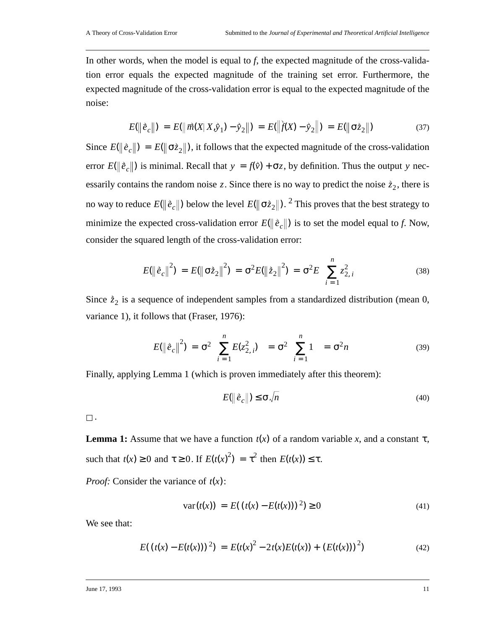In other words, when the model is equal to *f*, the expected magnitude of the cross-validation error equals the expected magnitude of the training set error. Furthermore, the expected magnitude of the cross-validation error is equal to the expected magnitude of the noise:

$$
E(\|\hat{e}_c\|) = E(\|\vec{m}(X|X,\hat{y}_1) - \hat{y}_2\|) = E(\|\hat{f}(X) - \hat{y}_2\|) = E(\|\sigma \hat{z}_2\|)
$$
(37)

Since  $E(\|\tilde{e}_c\|) = E(\|\sigma \tilde{z}_2\|)$ , it follows that the expected magnitude of the cross-validation error  $E(\|\tilde{e}_c\|)$  is minimal. Recall that  $y = f(\tilde{v}) + \sigma z$ , by definition. Thus the output y necessarily contains the random noise z. Since there is no way to predict the noise  $\dot{z}_2$ , there is no way to reduce  $E(\|\,{\r{e}}_c\|)$  below the level  $E(\|\,{\sigma}{\r{z}}_2\|).$   $^2$  This proves that the best strategy to minimize the expected cross-validation error  $E(\|\tilde{e}_c\|)$  is to set the model equal to *f*. Now, consider the squared length of the cross-validation error:

$$
E(\|\tilde{e}_c\|^2) = E(\|\sigma \tilde{z}_2\|^2) = \sigma^2 E(\|\tilde{z}_2\|^2) = \sigma^2 E\left(\sum_{i=1}^n z_{2,i}^2\right)
$$
(38)

Since  $\dot{z}_2$  is a sequence of independent samples from a standardized distribution (mean 0, variance 1), it follows that (Fraser, 1976):

$$
E(\left\|\tilde{e}_c\right\|^2) = \sigma^2 \left(\sum_{i=1}^n E(z_{2,i}^2)\right) = \sigma^2 \left(\sum_{i=1}^n 1\right) = \sigma^2 n \tag{39}
$$

Finally, applying Lemma 1 (which is proven immediately after this theorem):

$$
E(\|\tilde{e}_c\|) \le \sigma \sqrt{n} \tag{40}
$$

 $\square$  .

**Lemma 1:** Assume that we have a function  $t(x)$  of a random variable x, and a constant  $\tau$ , such that  $t(x) \ge 0$  and  $\tau \ge 0$ . If  $E(t(x)^2) = \tau^2$  then  $E(t(x)) \le \tau$ .

*Proof:* Consider the variance of  $t(x)$ :

$$
var(t(x)) = E((t(x) - E(t(x)))^{2}) \ge 0
$$
\n(41)

We see that:

$$
E((t(x) - E(t(x)))^{2}) = E(t(x)^{2} - 2t(x)E(t(x)) + (E(t(x)))^{2})
$$
\n(42)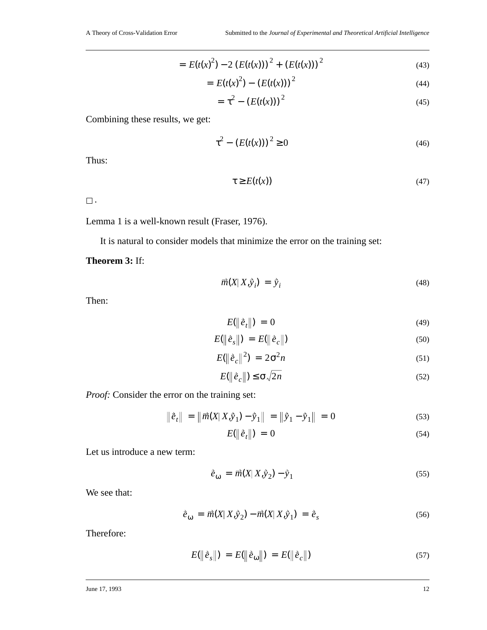$$
= E(t(x)^{2}) - 2(E(t(x)))^{2} + (E(t(x)))^{2}
$$
\n(43)

$$
= E(t(x)^{2}) - (E(t(x)))^{2}
$$
\n(44)

$$
= \tau^2 - (E(t(x)))^2
$$
 (45)

Combining these results, we get:

$$
\tau^2 - (E(t(x)))^2 \ge 0 \tag{46}
$$

Thus:

$$
\tau \ge E(t(x))\tag{47}
$$

 $\square$  .

Lemma 1 is a well-known result (Fraser, 1976).

It is natural to consider models that minimize the error on the training set:

**Theorem 3:** If:

$$
\vec{m}(X|X,\hat{y}_i) = \hat{y}_i \tag{48}
$$

Then:

$$
E(\left\|\hat{e}_t\right\|) = 0 \tag{49}
$$

$$
E(\left\|\hat{e}_s\right\|) = E(\left\|\hat{e}_c\right\|) \tag{50}
$$

$$
E(\left\|\hat{e}_c\right\|^2) = 2\sigma^2 n \tag{51}
$$

$$
E(\|\tilde{e}_c\|) \le \sigma \sqrt{2n} \tag{52}
$$

*Proof:* Consider the error on the training set:

$$
\|\tilde{e}_t\| = \|\vec{m}(X|X,\tilde{y}_1) - \tilde{y}_1\| = \|\tilde{y}_1 - \tilde{y}_1\| = 0
$$
\n(53)

$$
E(\left\|\hat{e}_t\right\|) = 0 \tag{54}
$$

Let us introduce a new term:

$$
\dot{\vec{e}}_{\omega} = \vec{m}(X|X,\dot{y}_2) - \dot{y}_1 \tag{55}
$$

We see that:

$$
\dot{e}_{\omega} = \vec{m}(X|X,\dot{y}_2) - \vec{m}(X|X,\dot{y}_1) = \dot{e}_s \tag{56}
$$

Therefore:

$$
E(||\hat{e}_s||) = E(||\hat{e}_\omega||) = E(||\hat{e}_c||)
$$
\n(57)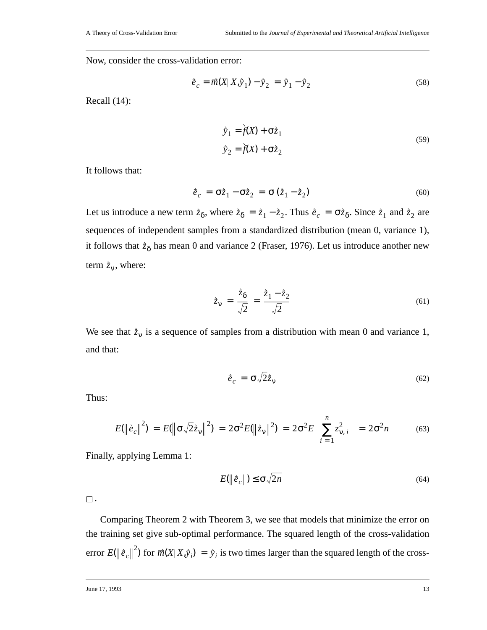Now, consider the cross-validation error:

$$
\dot{\vec{e}}_c = \vec{m}(X|X,\dot{y}_1) - \dot{y}_2 = \dot{y}_1 - \dot{y}_2
$$
\n(58)

Recall (14):

$$
\tilde{y}_1 = \tilde{f}(X) + \sigma \tilde{z}_1
$$
  
\n
$$
\tilde{y}_2 = \tilde{f}(X) + \sigma \tilde{z}_2
$$
\n(59)

It follows that:

$$
\dot{\vec{e}}_c = \sigma \dot{\vec{z}}_1 - \sigma \dot{\vec{z}}_2 = \sigma (\dot{\vec{z}}_1 - \dot{\vec{z}}_2)
$$
\n(60)

Let us introduce a new term  $\dot{z}_\delta$ , where  $\dot{z}_\delta = \dot{z}_1 - \dot{z}_2$ . Thus  $\dot{e}_c = \sigma \dot{z}_\delta$ . Since  $\dot{z}_1$  and  $\dot{z}_2$  are sequences of independent samples from a standardized distribution (mean 0, variance 1), it follows that  $\dot{z}_\delta$  has mean 0 and variance 2 (Fraser, 1976). Let us introduce another new term  $\dot{z}_v$ , where:

$$
\dot{\bar{z}}_{\mathbf{v}} = \frac{\dot{\bar{z}}_{\delta}}{\sqrt{2}} = \frac{\dot{\bar{z}}_1 - \dot{\bar{z}}_2}{\sqrt{2}} \tag{61}
$$

We see that  $\dot{z}_v$  is a sequence of samples from a distribution with mean 0 and variance 1, and that:

$$
\dot{\vec{e}}_c = \sigma \sqrt{2} \dot{\vec{z}}_v \tag{62}
$$

Thus:

$$
E(\|\tilde{e}_c\|^2) = E(\|\sigma \sqrt{2} \tilde{z}_v\|^2) = 2\sigma^2 E(\|\tilde{z}_v\|^2) = 2\sigma^2 E\left(\sum_{i=1}^n z_{v,i}^2\right) = 2\sigma^2 n \tag{63}
$$

Finally, applying Lemma 1:

$$
E(\|\tilde{e}_c\|) \le \sigma \sqrt{2n} \tag{64}
$$

 $\square$  .

Comparing Theorem 2 with Theorem 3, we see that models that minimize the error on the training set give sub-optimal performance. The squared length of the cross-validation error  $E(\|\hat{\bm{e}}_c\|^2)$  for  $\vec{m}(X|X,\hat{y}_i) = \hat{y}_i$  is two times larger than the squared length of the cross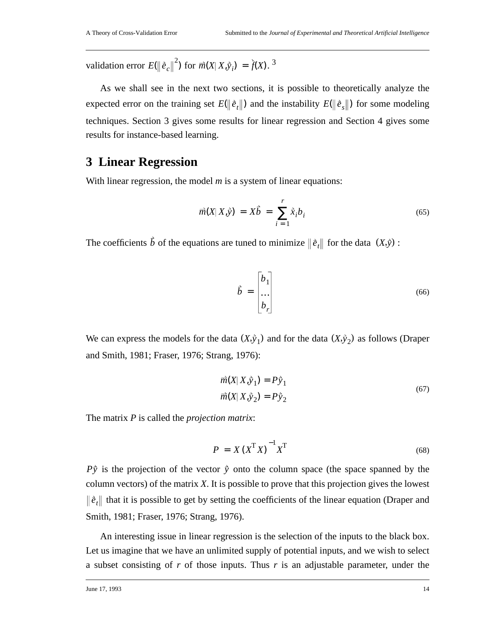validation error  $E(\|\tilde{e}_c\|^2)$  for  $\vec{m}(X|X, \tilde{y}_i) = \tilde{f}(X)$ .<sup>3</sup>

As we shall see in the next two sections, it is possible to theoretically analyze the expected error on the training set  $E(\|\hat{e}_t\|)$  and the instability  $E(\|\hat{e}_s\|)$  for some modeling techniques. Section 3 gives some results for linear regression and Section 4 gives some results for instance-based learning.

#### **3 Linear Regression**

With linear regression, the model *m* is a system of linear equations:

$$
\vec{m}(X|X,\hat{y}) = X\hat{b} = \sum_{i=1}^{r} \hat{x}_i b_i
$$
\n(65)

The coefficients  $\vec{b}$  of the equations are tuned to minimize  $\|\vec{e}_t\|$  for the data  $(X,\hat{y})$ :

$$
\vec{b} = \begin{bmatrix} b_1 \\ \dots \\ b_r \end{bmatrix} \tag{66}
$$

We can express the models for the data  $(X, \hat{y}_1)$  and for the data  $(X, \hat{y}_2)$  as follows (Draper and Smith, 1981; Fraser, 1976; Strang, 1976):

$$
\overrightarrow{m}(X|X,\overrightarrow{y}_1) = P\overrightarrow{y}_1
$$
  

$$
\overrightarrow{m}(X|X,\overrightarrow{y}_2) = P\overrightarrow{y}_2
$$
 (67)

The matrix *P* is called the *projection matrix*:

$$
P = X(X^{\mathrm{T}}X)^{-1}X^{\mathrm{T}}
$$
\n(68)

 $P\hat{y}$  is the projection of the vector  $\hat{y}$  onto the column space (the space spanned by the column vectors) of the matrix *X*. It is possible to prove that this projection gives the lowest  $\hat{e}_t$  that it is possible to get by setting the coefficients of the linear equation (Draper and Smith, 1981; Fraser, 1976; Strang, 1976).

An interesting issue in linear regression is the selection of the inputs to the black box. Let us imagine that we have an unlimited supply of potential inputs, and we wish to select a subset consisting of *r* of those inputs. Thus *r* is an adjustable parameter, under the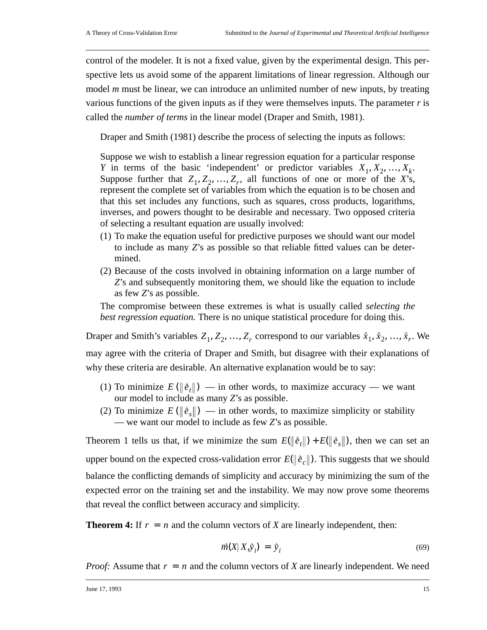control of the modeler. It is not a fixed value, given by the experimental design. This perspective lets us avoid some of the apparent limitations of linear regression. Although our model *m* must be linear, we can introduce an unlimited number of new inputs, by treating various functions of the given inputs as if they were themselves inputs. The parameter *r* is called the *number of terms* in the linear model (Draper and Smith, 1981).

Draper and Smith (1981) describe the process of selecting the inputs as follows:

Suppose we wish to establish a linear regression equation for a particular response *Y* in terms of the basic 'independent' or predictor variables  $X_1, X_2, ..., X_k$ . Suppose further that  $Z_1, Z_2, ..., Z_r$ , all functions of one or more of the *X*'s, represent the complete set of variables from which the equation is to be chosen and that this set includes any functions, such as squares, cross products, logarithms, inverses, and powers thought to be desirable and necessary. Two opposed criteria of selecting a resultant equation are usually involved:

- (1) To make the equation useful for predictive purposes we should want our model to include as many *Z*'s as possible so that reliable fitted values can be determined.
- (2) Because of the costs involved in obtaining information on a large number of *Z*'s and subsequently monitoring them, we should like the equation to include as few *Z*'s as possible.

The compromise between these extremes is what is usually called *selecting the best regression equation.* There is no unique statistical procedure for doing this.

Draper and Smith's variables  $Z_1, Z_2, ..., Z_r$  correspond to our variables  $\hat{x}_1, \hat{x}_2, ..., \hat{x}_r$ . We may agree with the criteria of Draper and Smith, but disagree with their explanations of why these criteria are desirable. An alternative explanation would be to say:

- (1) To minimize  $E(\|\tilde{e}_t\|)$  in other words, to maximize accuracy we want our model to include as many *Z*'s as possible.
- (2) To minimize  $E(\|\tilde{e}_s\|)$  in other words, to maximize simplicity or stability — we want our model to include as few *Z*'s as possible.

Theorem 1 tells us that, if we minimize the sum  $E(\|\hat{e}_t\|) + E(\|\hat{e}_s\|)$ , then we can set an upper bound on the expected cross-validation error  $E(\|\tilde{e}_c\|)$ . This suggests that we should balance the conflicting demands of simplicity and accuracy by minimizing the sum of the expected error on the training set and the instability. We may now prove some theorems that reveal the conflict between accuracy and simplicity.

**Theorem 4:** If  $r = n$  and the column vectors of *X* are linearly independent, then:

$$
\vec{m}(X|X,\vec{y}_i) = \vec{y}_i \tag{69}
$$

*Proof:* Assume that  $r = n$  and the column vectors of *X* are linearly independent. We need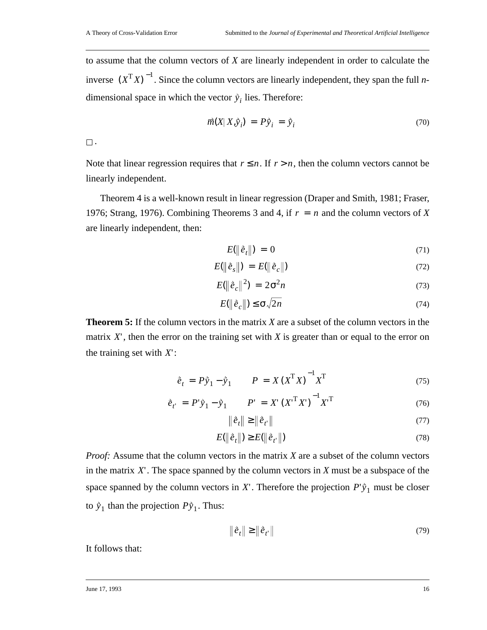to assume that the column vectors of *X* are linearly independent in order to calculate the inverse  $(X^TX)^{-1}$ . Since the column vectors are linearly independent, they span the full *n*dimensional space in which the vector  $\dot{y}_i$  lies. Therefore:

$$
\vec{m}(X|X,\vec{y}_i) = P\vec{y}_i = \vec{y}_i
$$
\n(70)

 $\square$  .

Note that linear regression requires that  $r \leq n$ . If  $r > n$ , then the column vectors cannot be linearly independent.

Theorem 4 is a well-known result in linear regression (Draper and Smith, 1981; Fraser, 1976; Strang, 1976). Combining Theorems 3 and 4, if  $r = n$  and the column vectors of *X* are linearly independent, then:

$$
E(\left\|\hat{e}_t\right\|) = 0 \tag{71}
$$

$$
E(\left\|\hat{e}_s\right\|) = E(\left\|\hat{e}_c\right\|) \tag{72}
$$

$$
E(\left\|\tilde{e}_c\right\|^2) = 2\sigma^2 n \tag{73}
$$

$$
E(\|\tilde{e}_c\|) \le \sigma \sqrt{2n} \tag{74}
$$

**Theorem 5:** If the column vectors in the matrix *X* are a subset of the column vectors in the matrix  $X'$ , then the error on the training set with  $X$  is greater than or equal to the error on the training set with  $X'$ :

$$
\dot{e}_t = P \dot{y}_1 - \dot{y}_1 \qquad P = X (X^{\mathrm{T}} X)^{-1} X^{\mathrm{T}}
$$
\n(75)

$$
\dot{e}_{t'} = P' \dot{y}_1 - \dot{y}_1 \qquad P' = X' \left(X'^T X'\right)^{-1} X'^T \tag{76}
$$

$$
\left\|\hat{\boldsymbol{e}}_{t}\right\| \geq \left\|\hat{\boldsymbol{e}}_{t'}\right\| \tag{77}
$$

$$
E(\left\|\tilde{e}_t\right\|) \ge E(\left\|\tilde{e}_t\right\|) \tag{78}
$$

*Proof:* Assume that the column vectors in the matrix *X* are a subset of the column vectors in the matrix  $X'$ . The space spanned by the column vectors in  $X$  must be a subspace of the space spanned by the column vectors in X'. Therefore the projection  $P^{\dagger}$ <sup>*y*</sup><sub>1</sub> must be closer to  $\hat{y}_1$  than the projection  $P\hat{y}_1$ . Thus:

$$
\left\|\hat{\boldsymbol{e}}_{t}\right\| \geq \left\|\hat{\boldsymbol{e}}_{t'}\right\| \tag{79}
$$

It follows that: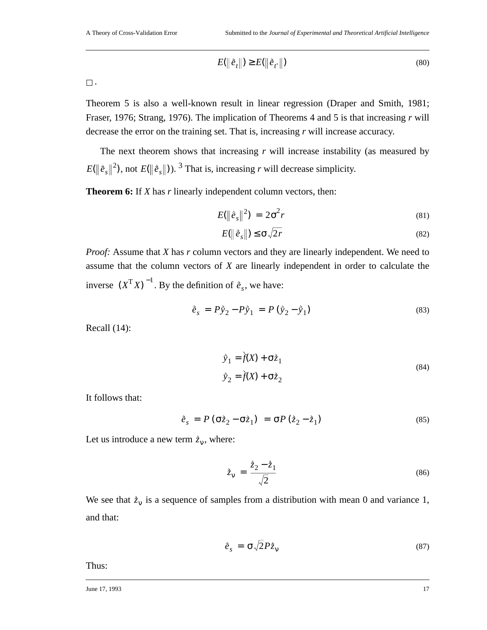$$
E(\left\|\left.\vec{e}_t\right\|\right) \ge E(\left\|\left.\vec{e}_t\right\|\right) \tag{80}
$$

 $\Box$  .

Theorem 5 is also a well-known result in linear regression (Draper and Smith, 1981; Fraser, 1976; Strang, 1976). The implication of Theorems 4 and 5 is that increasing *r* will decrease the error on the training set. That is, increasing *r* will increase accuracy.

The next theorem shows that increasing *r* will increase instability (as measured by  $E(\|\tilde{e}_s\|^2)$ , not  $E(\|\tilde{e}_s\|)$ ). <sup>3</sup> That is, increasing *r* will decrease simplicity.

**Theorem 6:** If *X* has *r* linearly independent column vectors, then:

$$
E(\left\|\hat{e}_s\right\|^2) = 2\sigma^2 r \tag{81}
$$

$$
E(\left\|\tilde{e}_s\right\|) \le \sigma \sqrt{2r} \tag{82}
$$

*Proof:* Assume that *X* has *r* column vectors and they are linearly independent. We need to assume that the column vectors of *X* are linearly independent in order to calculate the inverse  $(X^{\mathsf{T}} X)^{-1}$ . By the definition of  $\hat{e}_s$ , we have:

$$
\dot{\vec{e}}_s = P \dot{y}_2 - P \dot{y}_1 = P (\dot{y}_2 - \dot{y}_1)
$$
\n(83)

Recall (14):

$$
\begin{aligned}\n\hat{y}_1 &= \dot{\hat{f}}(X) + \sigma \dot{z}_1 \\
\hat{y}_2 &= \dot{f}(X) + \sigma \dot{z}_2\n\end{aligned}
$$
\n(84)

It follows that:

$$
\dot{\vec{e}}_s = P(\sigma \dot{\vec{z}}_2 - \sigma \dot{\vec{z}}_1) = \sigma P(\dot{\vec{z}}_2 - \dot{\vec{z}}_1)
$$
\n(85)

Let us introduce a new term  $\dot{z}_v$ , where:

$$
\dot{\vec{z}}_{\mathbf{v}} = \frac{\dot{\vec{z}}_2 - \dot{\vec{z}}_1}{\sqrt{2}} \tag{86}
$$

We see that  $\dot{z}_v$  is a sequence of samples from a distribution with mean 0 and variance 1, and that:

$$
\dot{\vec{e}}_s = \sigma \sqrt{2} P \dot{\vec{z}}_v \tag{87}
$$

Thus:

June 17, 1993 **17**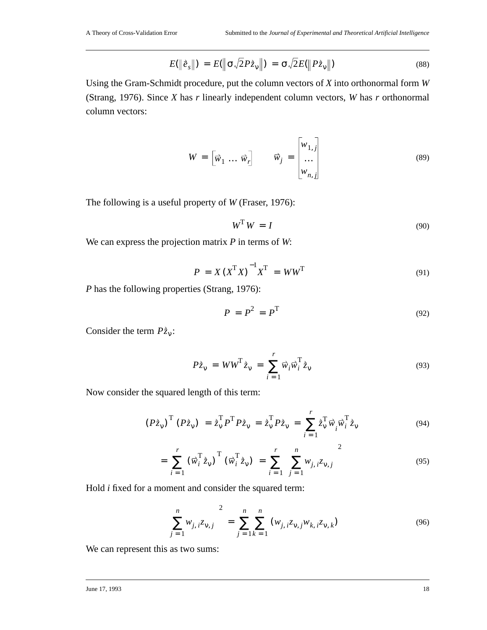$$
E(\|\tilde{e}_s\|) = E(\|\sigma \sqrt{2} P \dot{z}_v\|) = \sigma \sqrt{2} E(\|P \dot{z}_v\|)
$$
\n(88)

Using the Gram-Schmidt procedure, put the column vectors of *X* into orthonormal form *W* (Strang, 1976). Since *X* has *r* linearly independent column vectors, *W* has *r* orthonormal column vectors:

$$
W = \begin{bmatrix} \vec{w}_1 & \dots & \vec{w}_r \end{bmatrix} \qquad \vec{w}_j = \begin{bmatrix} w_{1,j} \\ \dots \\ w_{n,j} \end{bmatrix}
$$
 (89)

The following is a useful property of *W* (Fraser, 1976):

$$
W^{\mathrm{T}}W = I \tag{90}
$$

We can express the projection matrix *P* in terms of *W*:

$$
P = X(X^{\mathrm{T}}X)^{-1}X^{\mathrm{T}} = WW^{\mathrm{T}}
$$
\n(91)

*P* has the following properties (Strang, 1976):

$$
P = P^2 = P^T \tag{92}
$$

Consider the term  $P\dot{z}_v$ :

$$
P\dot{\vec{z}}_{\nu} = WW^{\mathsf{T}}\dot{\vec{z}}_{\nu} = \sum_{i=1}^{r} \vec{w}_{i} \vec{w}_{i}^{\mathsf{T}}\dot{\vec{z}}_{\nu}
$$
(93)

Now consider the squared length of this term:

$$
(P\dot{z}_{\nu})^{\mathrm{T}}(P\dot{z}_{\nu}) = \dot{z}_{\nu}^{\mathrm{T}}P^{\mathrm{T}}P\dot{z}_{\nu} = \dot{z}_{\nu}^{\mathrm{T}}P\dot{z}_{\nu} = \sum_{i=1}^{r} \dot{z}_{\nu}^{\mathrm{T}}\vec{w}_{i}^{\mathrm{T}}\dot{\vec{z}}_{\nu}
$$
(94)

$$
= \sum_{i=1}^{r} (\vec{w}_{i}^{T} \dot{z}_{v})^{T} (\vec{w}_{i}^{T} \dot{z}_{v}) = \sum_{i=1}^{r} \left( \sum_{j=1}^{n} w_{j,i} z_{v,j} \right)^{2}
$$
(95)

Hold *i* fixed for a moment and consider the squared term:

$$
\left(\sum_{j=1}^{n} w_{j,i} z_{\nu,j}\right)^2 = \sum_{j=1}^{n} \sum_{k=1}^{n} (w_{j,i} z_{\nu,j} w_{k,i} z_{\nu,k})
$$
(96)

We can represent this as two sums: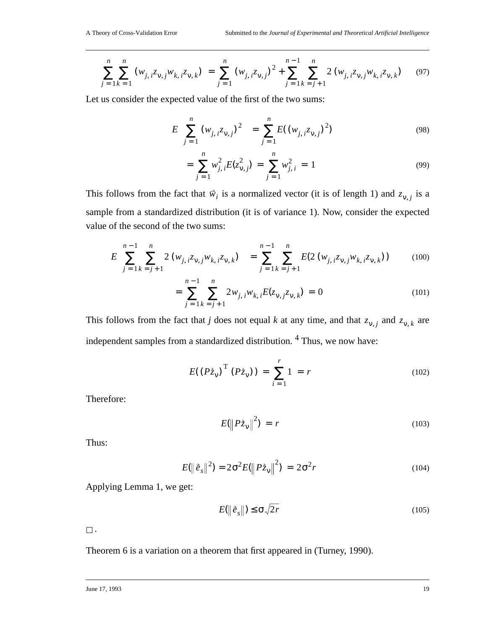$$
\sum_{j=1}^{n} \sum_{k=1}^{n} (w_{j,i}z_{v,j}w_{k,i}z_{v,k}) = \sum_{j=1}^{n} (w_{j,i}z_{v,j})^{2} + \sum_{j=1}^{n-1} \sum_{k=j+1}^{n} 2(w_{j,i}z_{v,j}w_{k,i}z_{v,k})
$$
(97)

Let us consider the expected value of the first of the two sums:

$$
E\left(\sum_{j=1}^{n} (w_{j,i}z_{v,j})^2\right) = \sum_{j=1}^{n} E((w_{j,i}z_{v,j})^2)
$$
\n(98)

$$
= \sum_{j=1}^{n} w_{j,i}^{2} E(z_{v,j}^{2}) = \sum_{j=1}^{n} w_{j,i}^{2} = 1
$$
\n(99)

This follows from the fact that  $\vec{w}_i$  is a normalized vector (it is of length 1) and  $z_{v,j}$  is a sample from a standardized distribution (it is of variance 1). Now, consider the expected value of the second of the two sums:

$$
E\left(\sum_{j=1}^{n-1}\sum_{k=j+1}^{n}2\left(w_{j,i}z_{v,j}w_{k,i}z_{v,k}\right)\right)=\sum_{j=1}^{n-1}\sum_{k=j+1}^{n}E(2\left(w_{j,i}z_{v,j}w_{k,i}z_{v,k}\right))\tag{100}
$$

$$
= \sum_{j=1}^{n-1} \sum_{k=j+1}^{n} 2w_{j,i} w_{k,i} E(z_{\nu,j} z_{\nu,k}) = 0
$$
 (101)

This follows from the fact that *j* does not equal *k* at any time, and that  $z_{v, j}$  and  $z_{v, k}$  are independent samples from a standardized distribution. <sup>4</sup> Thus, we now have:

$$
E((P\dot{z}_{v})^{T} (P\dot{z}_{v})) = \sum_{i=1}^{r} 1 = r
$$
 (102)

Therefore:

$$
E(||P\dot{z}_v||^2) = r \tag{103}
$$

Thus:

$$
E(\|\tilde{e}_s\|^2) = 2\sigma^2 E(\|P\dot{z}_v\|^2) = 2\sigma^2 r \tag{104}
$$

Applying Lemma 1, we get:

$$
E(\left\|\tilde{e}_s\right\|) \le \sigma \sqrt{2r} \tag{105}
$$

 $\square$  .

Theorem 6 is a variation on a theorem that first appeared in (Turney, 1990).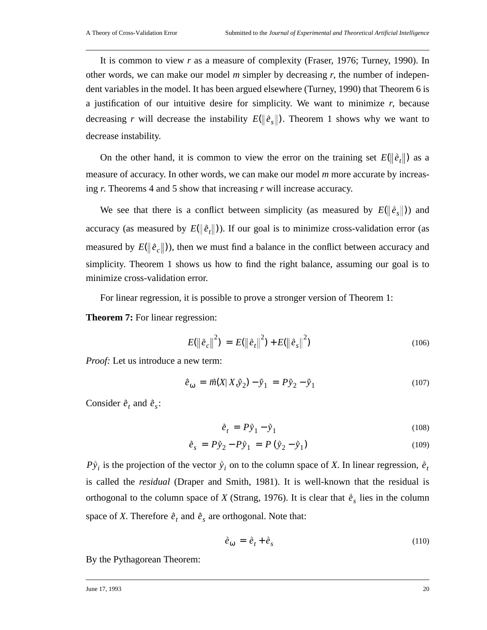It is common to view *r* as a measure of complexity (Fraser, 1976; Turney, 1990). In other words, we can make our model *m* simpler by decreasing *r*, the number of independent variables in the model. It has been argued elsewhere (Turney, 1990) that Theorem 6 is a justification of our intuitive desire for simplicity. We want to minimize *r*, because decreasing *r* will decrease the instability  $E(\|\tilde{e}_s\|)$ . Theorem 1 shows why we want to decrease instability.

On the other hand, it is common to view the error on the training set  $E(\|\hat{e}_t\|)$  as a measure of accuracy. In other words, we can make our model *m* more accurate by increasing *r*. Theorems 4 and 5 show that increasing *r* will increase accuracy.

We see that there is a conflict between simplicity (as measured by  $E(\|\tilde{e}_s\|)$ ) and accuracy (as measured by  $E(\|\hat{e}_t\|)$ ). If our goal is to minimize cross-validation error (as measured by  $E(\|\tilde{e}_c\|)$ ), then we must find a balance in the conflict between accuracy and simplicity. Theorem 1 shows us how to find the right balance, assuming our goal is to minimize cross-validation error.

For linear regression, it is possible to prove a stronger version of Theorem 1:

**Theorem 7:** For linear regression:

$$
E(||\vec{e}_c||^2) = E(||\vec{e}_t||^2) + E(||\vec{e}_s||^2)
$$
\n(106)

*Proof:* Let us introduce a new term:

$$
\dot{\vec{e}}_{\text{O}} = \vec{m}(X|X,\dot{y}_2) - \dot{y}_1 = P\dot{y}_2 - \dot{y}_1 \tag{107}
$$

Consider  $\vec{e}_t$  and  $\vec{e}_s$ :

$$
\dot{\vec{e}}_t = P\dot{\vec{y}}_1 - \dot{\vec{y}}_1 \tag{108}
$$

$$
\dot{\vec{e}}_s = P\ddot{y}_2 - P\ddot{y}_1 = P(\dot{y}_2 - \dot{y}_1)
$$
 (109)

 $P\hat{y}_i$  is the projection of the vector  $\hat{y}_i$  on to the column space of *X*. In linear regression,  $\hat{e}_t$ is called the *residual* (Draper and Smith, 1981). It is well-known that the residual is orthogonal to the column space of *X* (Strang, 1976). It is clear that  $\hat{e}_s$  lies in the column space of *X*. Therefore  $\dot{\vec{e}}_t$  and  $\dot{\vec{e}}_s$  are orthogonal. Note that:

$$
\dot{\vec{e}}_{\omega} = \dot{\vec{e}}_t + \dot{\vec{e}}_s \tag{110}
$$

By the Pythagorean Theorem: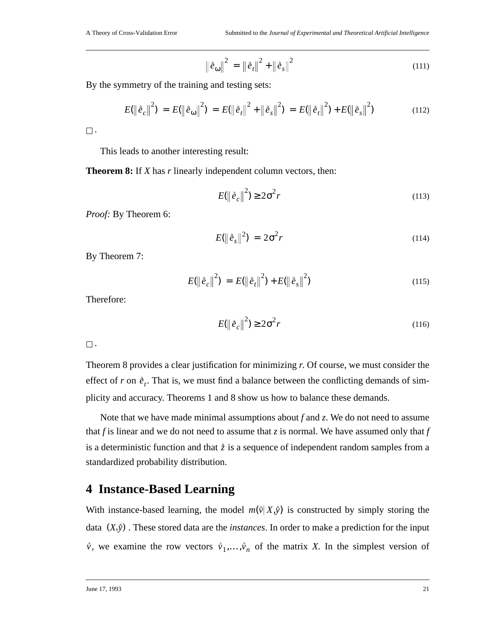$$
\left\|\tilde{e}_{\omega}\right\|^{2} = \left\|\tilde{e}_{t}\right\|^{2} + \left\|\tilde{e}_{s}\right\|^{2}
$$
 (111)

By the symmetry of the training and testing sets:

$$
E(\left\|\tilde{e}_c\right\|^2) = E(\left\|\tilde{e}_{\omega}\right\|^2) = E(\left\|\tilde{e}_t\right\|^2 + \left\|\tilde{e}_s\right\|^2) = E(\left\|\tilde{e}_t\right\|^2) + E(\left\|\tilde{e}_s\right\|^2)
$$
(112)

 $\square$  .

This leads to another interesting result:

**Theorem 8:** If *X* has *r* linearly independent column vectors, then:

$$
E(||\dot{\vec{e}}_c||^2) \ge 2\sigma^2 r \tag{113}
$$

*Proof:* By Theorem 6:

$$
E(\left\|\tilde{e}_s\right\|^2) = 2\sigma^2 r \tag{114}
$$

By Theorem 7:

$$
E(||\dot{e}_c||^2) = E(||\dot{e}_t||^2) + E(||\dot{e}_s||^2)
$$
\n(115)

Therefore:

$$
E(\left\|\tilde{e}_c\right\|^2) \ge 2\sigma^2 r \tag{116}
$$

 $\square$ .

Theorem 8 provides a clear justification for minimizing *r*. Of course, we must consider the effect of *r* on  $\dot{e}_t$ . That is, we must find a balance between the conflicting demands of simplicity and accuracy. Theorems 1 and 8 show us how to balance these demands.

Note that we have made minimal assumptions about *f* and *z*. We do not need to assume that *f* is linear and we do not need to assume that *z* is normal. We have assumed only that *f* is a deterministic function and that  $\dot{z}$  is a sequence of independent random samples from a standardized probability distribution.

#### **4 Instance-Based Learning**

With instance-based learning, the model  $m(\vec{v} | X, \vec{y})$  is constructed by simply storing the data  $(X, \hat{y})$ . These stored data are the *instances*. In order to make a prediction for the input  $\vec{v}$ , we examine the row vectors  $\vec{v}_1, \dots, \vec{v}_n$  of the matrix *X*. In the simplest version of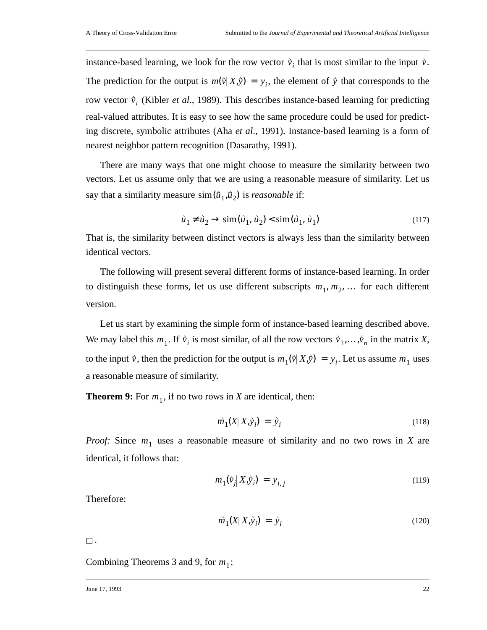instance-based learning, we look for the row vector  $\vec{v}_i$  that is most similar to the input  $\vec{v}$ . The prediction for the output is  $m(\vec{v} | X, \vec{y}) = y_i$ , the element of  $\vec{y}$  that corresponds to the row vector  $\vec{v}_i$  (Kibler *et al.*, 1989). This describes instance-based learning for predicting real-valued attributes. It is easy to see how the same procedure could be used for predicting discrete, symbolic attributes (Aha *et al*., 1991). Instance-based learning is a form of nearest neighbor pattern recognition (Dasarathy, 1991).

There are many ways that one might choose to measure the similarity between two vectors. Let us assume only that we are using a reasonable measure of similarity. Let us say that a similarity measure  $\sin(\vec{u}_1, \vec{u}_2)$  is *reasonable* if:

$$
\vec{u}_1 \neq \vec{u}_2 \to \text{sim}(\vec{u}_1, \vec{u}_2) < \text{sim}(\vec{u}_1, \vec{u}_1) \tag{117}
$$

That is, the similarity between distinct vectors is always less than the similarity between identical vectors.

The following will present several different forms of instance-based learning. In order to distinguish these forms, let us use different subscripts  $m_1, m_2, \ldots$  for each different version.

Let us start by examining the simple form of instance-based learning described above. We may label this  $m_1$ . If  $\vec{v}_i$  is most similar, of all the row vectors  $\vec{v}_1, \dots, \vec{v}_n$  in the matrix *X*, to the input  $\vec{v}$ , then the prediction for the output is  $m_1(\vec{v}|X,\vec{y}) = y_i$ . Let us assume  $m_1$  uses a reasonable measure of similarity.

**Theorem 9:** For  $m_1$ , if no two rows in *X* are identical, then:

$$
\vec{m}_1(X|X,\vec{y}_i) = \vec{y}_i \tag{118}
$$

*Proof:* Since  $m_1$  uses a reasonable measure of similarity and no two rows in *X* are identical, it follows that:

$$
m_1(\hat{v}_j|X,\hat{y}_i) = y_{i,j} \tag{119}
$$

Therefore:

$$
\vec{m}_1(X|X,\hat{y}_i) = \hat{y}_i \tag{120}
$$

 $\square$  .

Combining Theorems 3 and 9, for  $m_1$ :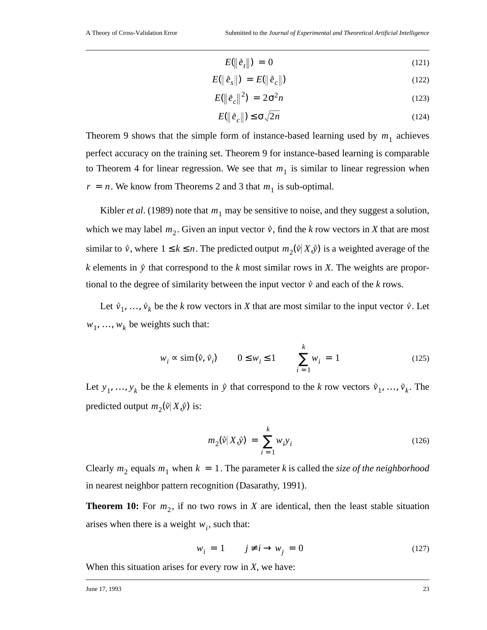$$
E(\left\|\tilde{e}_t\right\|) = 0 \tag{121}
$$

$$
E(\|\hat{e}_s\|) = E(\|\hat{e}_c\|) \tag{122}
$$

$$
E(\left\|\tilde{e}_c\right\|^2) = 2\sigma^2 n \tag{123}
$$

$$
E(\|\dot{e}_c\|) \le \sigma \sqrt{2n} \tag{124}
$$

Theorem 9 shows that the simple form of instance-based learning used by  $m_1$  achieves perfect accuracy on the training set. Theorem 9 for instance-based learning is comparable to Theorem 4 for linear regression. We see that  $m_1$  is similar to linear regression when  $r = n$ . We know from Theorems 2 and 3 that  $m_1$  is sub-optimal.

Kibler *et al.* (1989) note that  $m_1$  may be sensitive to noise, and they suggest a solution, which we may label  $m_2$ . Given an input vector  $\hat{v}$ , find the *k* row vectors in *X* that are most similar to  $\vec{v}$ , where  $1 \le k \le n$ . The predicted output  $m_2(\vec{v} | X, \vec{y})$  is a weighted average of the *k* elements in  $\hat{y}$  that correspond to the *k* most similar rows in *X*. The weights are proportional to the degree of similarity between the input vector  $\hat{v}$  and each of the *k* rows.

Let  $\vec{v}_1, \ldots, \vec{v}_k$  be the *k* row vectors in *X* that are most similar to the input vector  $\vec{v}$ . Let  $w_1, \ldots, w_k$  be weights such that:

$$
w_i \approx \text{sim}(\vec{v}, \vec{v}_i) \qquad 0 \le w_i \le 1 \qquad \sum_{i=1}^k w_i = 1 \qquad (125)
$$

Let  $y_1, ..., y_k$  be the *k* elements in  $\hat{y}$  that correspond to the *k* row vectors  $\hat{v}_1, ..., \hat{v}_k$ . The predicted output  $m_2(\vec{v} | X, \vec{y})$  is:

$$
m_2(\vec{v}|X,\vec{y}) = \sum_{i=1}^{k} w_i y_i
$$
 (126)

Clearly  $m_2$  equals  $m_1$  when  $k = 1$ . The parameter k is called the *size of the neighborhood* in nearest neighbor pattern recognition (Dasarathy, 1991).

**Theorem 10:** For  $m_2$ , if no two rows in *X* are identical, then the least stable situation arises when there is a weight  $w_i$ , such that:

$$
w_i = 1 \t j \neq i \rightarrow w_j = 0 \t(127)
$$

When this situation arises for every row in *X*, we have: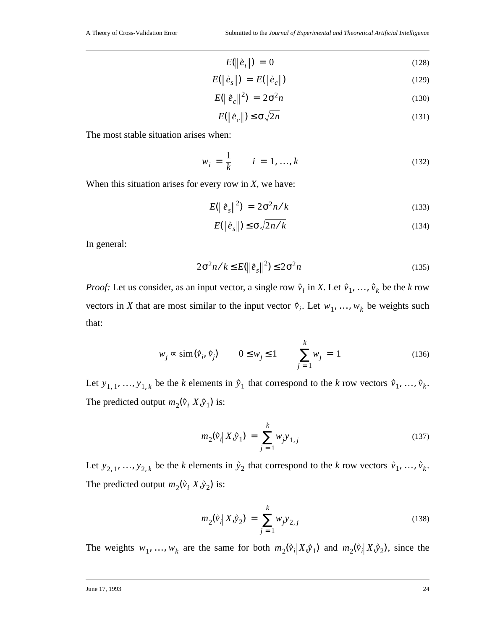$$
E(\left\|\tilde{e}_t\right\|) = 0 \tag{128}
$$

$$
E(\left\|\hat{e}_s\right\|) = E(\left\|\hat{e}_c\right\|) \tag{129}
$$

$$
E(\left\|\hat{e}_c\right\|^2) = 2\sigma^2 n \tag{130}
$$

$$
E(\|\tilde{e}_c\|) \le \sigma \sqrt{2n} \tag{131}
$$

The most stable situation arises when:

$$
w_i = \frac{1}{k} \qquad i = 1, ..., k \tag{132}
$$

When this situation arises for every row in *X*, we have:

$$
E(\left\|\tilde{e}_s\right\|^2) = 2\sigma^2 n/k \tag{133}
$$

$$
E(\|\tilde{e}_s\|) \le \sigma \sqrt{2n/k} \tag{134}
$$

In general:

$$
2\sigma^2 n/k \le E(\|\tilde{e}_s\|^2) \le 2\sigma^2 n \tag{135}
$$

*Proof:* Let us consider, as an input vector, a single row  $\vec{v}_i$  in *X*. Let  $\vec{v}_1, \ldots, \vec{v}_k$  be the *k* row vectors in *X* that are most similar to the input vector  $\vec{v}_i$ . Let  $w_1, \ldots, w_k$  be weights such that:

$$
w_j \propto \text{sim}(\vec{v}_i, \vec{v}_j) \qquad 0 \le w_j \le 1 \qquad \sum_{j=1}^k w_j = 1 \qquad (136)
$$

Let  $y_{1,1},..., y_{1,k}$  be the *k* elements in  $\hat{y}_1$  that correspond to the *k* row vectors  $\hat{v}_1,..., \hat{v}_k$ . The predicted output  $m_2(\vec{v}_i | X, \vec{y}_1)$  is:

$$
m_2(\vec{v}_i | X, \vec{y}_1) = \sum_{j=1}^k w_j y_{1,j}
$$
 (137)

Let  $y_{2,1},..., y_{2,k}$  be the *k* elements in  $\dot{y}_2$  that correspond to the *k* row vectors  $\dot{v}_1,..., \dot{v}_k$ . The predicted output  $m_2(\vec{v}_i | X, \vec{y}_2)$  is:

$$
m_2(\vec{v}_i | X, \vec{y}_2) = \sum_{j=1}^k w_j y_{2,j}
$$
\n(138)

The weights  $w_1, ..., w_k$  are the same for both  $m_2(\vec{v}_i | X, \vec{y}_1)$  and  $m_2(\vec{v}_i | X, \vec{y}_2)$ , since the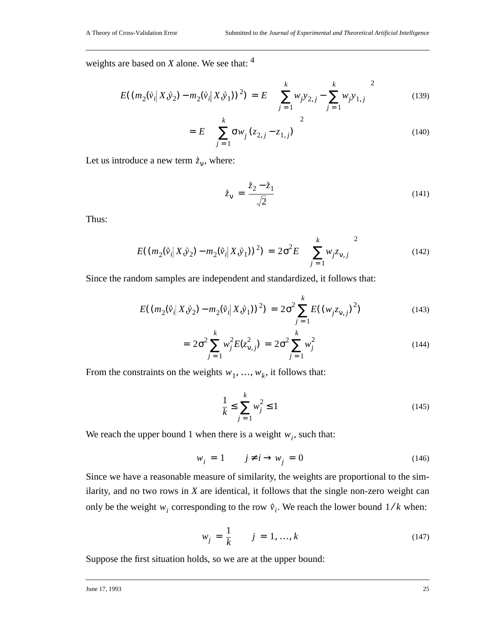weights are based on *X* alone. We see that: <sup>4</sup>

$$
E((m_2(\tilde{v}_i|X,\tilde{y}_2) - m_2(\tilde{v}_i|X,\tilde{y}_1))^2) = E\left(\left(\sum_{j=1}^k w_j y_{2,j} - \sum_{j=1}^k w_j y_{1,j}\right)^2\right)
$$
(139)

$$
= E\left( \left( \sum_{j=1}^{k} \sigma w_j (z_{2,j} - z_{1,j}) \right)^2 \right) \tag{140}
$$

Let us introduce a new term  $\dot{z}_v$ , where:

$$
\dot{\vec{z}}_{\mathbf{v}} = \frac{\dot{\vec{z}}_2 - \dot{\vec{z}}_1}{\sqrt{2}} \tag{141}
$$

Thus:

$$
E((m_2(\vec{v}_i|X,\vec{y}_2) - m_2(\vec{v}_i|X,\vec{y}_1))^2) = 2\sigma^2 E\left(\left(\sum_{j=1}^k w_j z_{\nu,j}\right)^2\right)
$$
(142)

Since the random samples are independent and standardized, it follows that:

$$
E((m_2(\vec{v}_i|X,\vec{y}_2) - m_2(\vec{v}_i|X,\vec{y}_1))^2) = 2\sigma^2 \sum_{j=1}^{k} E((w_j z_{v,j})^2)
$$
 (143)

$$
= 2\sigma^2 \sum_{j=1}^k w_j^2 E(z_{\nu,j}^2) = 2\sigma^2 \sum_{j=1}^k w_j^2
$$
 (144)

From the constraints on the weights  $w_1, ..., w_k$ , it follows that:

$$
\frac{1}{k} \le \sum_{j=1}^{k} w_j^2 \le 1
$$
\n(145)

We reach the upper bound 1 when there is a weight  $w_i$ , such that:

$$
w_i = 1 \t j \neq i \rightarrow w_j = 0 \t(146)
$$

Since we have a reasonable measure of similarity, the weights are proportional to the similarity, and no two rows in *X* are identical, it follows that the single non-zero weight can only be the weight  $w_i$  corresponding to the row  $\vec{v}_i$ . We reach the lower bound  $1/k$  when:

$$
w_j = \frac{1}{k} \qquad j = 1, ..., k \tag{147}
$$

Suppose the first situation holds, so we are at the upper bound: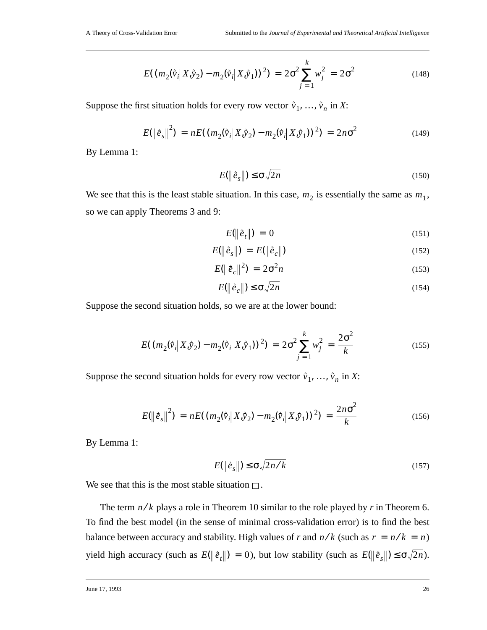$$
E((m_2(\hat{v}_i|X,\hat{y}_2) - m_2(\hat{v}_i|X,\hat{y}_1))^2) = 2\sigma^2 \sum_{j=1}^k w_j^2 = 2\sigma^2
$$
 (148)

Suppose the first situation holds for every row vector  $\vec{v}_1, \ldots, \vec{v}_n$  in *X*:

$$
E(||\hat{e}_s||^2) = nE((m_2(\hat{v}_i|X,\hat{y}_2) - m_2(\hat{v}_i|X,\hat{y}_1))^2) = 2n\sigma^2
$$
 (149)

By Lemma 1:

$$
E(\left\|\tilde{e}_s\right\|) \le \sigma \sqrt{2n} \tag{150}
$$

We see that this is the least stable situation. In this case,  $m_2$  is essentially the same as  $m_1$ , so we can apply Theorems 3 and 9:

$$
E(\left\|\hat{e}_t\right\|) = 0 \tag{151}
$$

$$
E(||\dot{e}_s||) = E(||\dot{e}_c||) \tag{152}
$$

$$
E(\left\|\tilde{e}_c\right\|^2) = 2\sigma^2 n \tag{153}
$$

$$
E(\|\tilde{e}_c\|) \le \sigma \sqrt{2n} \tag{154}
$$

Suppose the second situation holds, so we are at the lower bound:

$$
E((m_2(\tilde{v}_i|X,\tilde{y}_2) - m_2(\tilde{v}_i|X,\tilde{y}_1))^2) = 2\sigma^2 \sum_{j=1}^k w_j^2 = \frac{2\sigma^2}{k}
$$
 (155)

Suppose the second situation holds for every row vector  $\vec{v}_1, \ldots, \vec{v}_n$  in *X*:

$$
E(||\hat{e}_s||^2) = nE((m_2(\hat{v}_i|X,\hat{y}_2) - m_2(\hat{v}_i|X,\hat{y}_1))^2) = \frac{2n\sigma^2}{k}
$$
 (156)

By Lemma 1:

$$
E(\left\|\tilde{e}_s\right\|) \le \sigma \sqrt{2n/k} \tag{157}
$$

We see that this is the most stable situation  $\Box$ .

The term  $n/k$  plays a role in Theorem 10 similar to the role played by  $r$  in Theorem 6. To find the best model (in the sense of minimal cross-validation error) is to find the best balance between accuracy and stability. High values of *r* and  $n/k$  (such as  $r = n/k = n$ ) yield high accuracy (such as  $E(\|\hat{e}_t\|) = 0$ ), but low stability (such as  $E(\|\hat{e}_s\|) \le \sigma \sqrt{2n}$ ).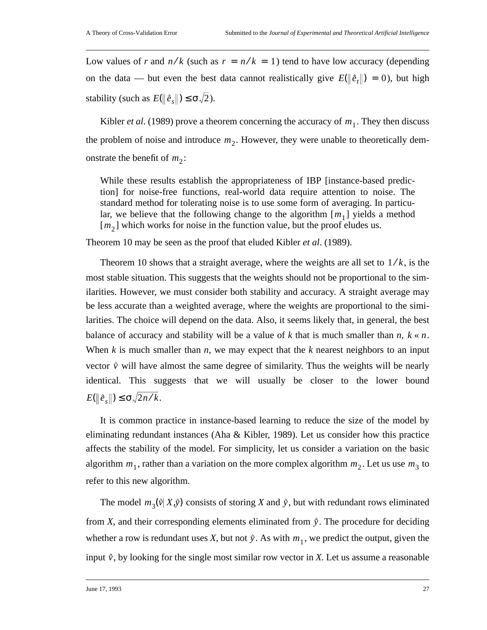Low values of *r* and  $n/k$  (such as  $r = n/k = 1$ ) tend to have low accuracy (depending on the data — but even the best data cannot realistically give  $E(\|\hat{e}_t\|) = 0$ ), but high stability (such as  $E(\|\hat{e}_s\|) \leq \sigma \sqrt{2}$ ).

Kibler *et al.* (1989) prove a theorem concerning the accuracy of  $m_1$ . They then discuss the problem of noise and introduce  $m_2$ . However, they were unable to theoretically demonstrate the benefit of  $m_2$ :

While these results establish the appropriateness of IBP [instance-based prediction] for noise-free functions, real-world data require attention to noise. The standard method for tolerating noise is to use some form of averaging. In particular, we believe that the following change to the algorithm  $[m_1]$  yields a method  $[m_2]$  which works for noise in the function value, but the proof eludes us.

Theorem 10 may be seen as the proof that eluded Kibler *et al*. (1989).

Theorem 10 shows that a straight average, where the weights are all set to  $1/k$ , is the most stable situation. This suggests that the weights should not be proportional to the similarities. However, we must consider both stability and accuracy. A straight average may be less accurate than a weighted average, where the weights are proportional to the similarities. The choice will depend on the data. Also, it seems likely that, in general, the best balance of accuracy and stability will be a value of  $k$  that is much smaller than  $n, k \ll n$ . When *k* is much smaller than *n*, we may expect that the *k* nearest neighbors to an input vector  $\vec{v}$  will have almost the same degree of similarity. Thus the weights will be nearly identical. This suggests that we will usually be closer to the lower bound  $E(\|\tilde{e}_s\|) \le \sigma \sqrt{2n/k}.$ 

It is common practice in instance-based learning to reduce the size of the model by eliminating redundant instances (Aha & Kibler, 1989). Let us consider how this practice affects the stability of the model. For simplicity, let us consider a variation on the basic algorithm  $m_1$ , rather than a variation on the more complex algorithm  $m_2$ . Let us use  $m_3$  to refer to this new algorithm.

The model  $m_3(\vec{v} | X, \vec{y})$  consists of storing *X* and  $\vec{y}$ , but with redundant rows eliminated from *X*, and their corresponding elements eliminated from  $\dot{y}$ . The procedure for deciding whether a row is redundant uses *X*, but not  $\hat{y}$ . As with  $m_1$ , we predict the output, given the input  $\dot{v}$ , by looking for the single most similar row vector in *X*. Let us assume a reasonable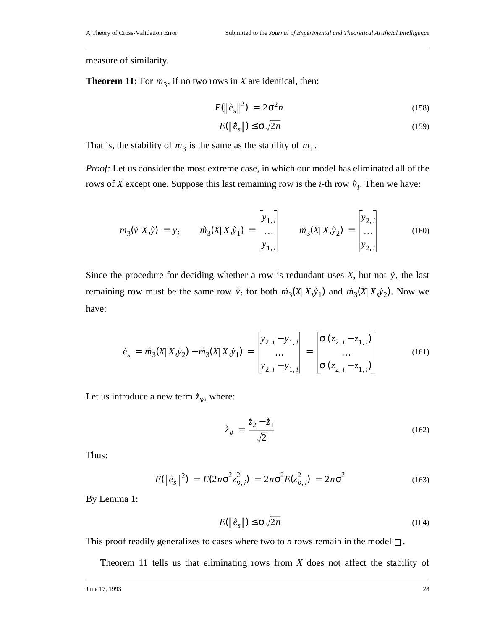measure of similarity.

**Theorem 11:** For  $m_3$ , if no two rows in *X* are identical, then:

$$
E(\left\|\tilde{e}_s\right\|^2) = 2\sigma^2 n \tag{158}
$$

$$
E(\left\|\tilde{e}_s\right\|) \le \sigma \sqrt{2n} \tag{159}
$$

That is, the stability of  $m_3$  is the same as the stability of  $m_1$ .

*Proof:* Let us consider the most extreme case, in which our model has eliminated all of the rows of *X* except one. Suppose this last remaining row is the *i*-th row  $\dot{v}_i$ . Then we have:

$$
m_3(\vec{v}|X,\vec{y}) = y_i \qquad \vec{m}_3(X|X,\vec{y}_1) = \begin{bmatrix} y_{1,i} \\ \dots \\ y_{1,i} \end{bmatrix} \qquad \vec{m}_3(X|X,\vec{y}_2) = \begin{bmatrix} y_{2,i} \\ \dots \\ y_{2,i} \end{bmatrix}
$$
(160)

Since the procedure for deciding whether a row is redundant uses  $X$ , but not  $\dot{y}$ , the last remaining row must be the same row  $\vec{v}_i$  for both  $\vec{m}_3(X|X,\hat{y}_1)$  and  $\vec{m}_3(X|X,\hat{y}_2)$ . Now we have:

$$
\tilde{e}_s = \overrightarrow{m}_3(X|X,\hat{y}_2) - \overrightarrow{m}_3(X|X,\hat{y}_1) = \begin{bmatrix} y_{2,i} - y_{1,i} \\ \dots \\ y_{2,i} - y_{1,i} \end{bmatrix} = \begin{bmatrix} \sigma(z_{2,i} - z_{1,i}) \\ \dots \\ \sigma(z_{2,i} - z_{1,i}) \end{bmatrix}
$$
(161)

Let us introduce a new term  $\dot{z}_v$ , where:

$$
\dot{\bar{z}}_{\mathbf{v}} = \frac{\dot{\bar{z}}_2 - \dot{\bar{z}}_1}{\sqrt{2}} \tag{162}
$$

Thus:

$$
E(\|\tilde{e}_s\|^2) = E(2n\sigma^2 z_{\nu,i}^2) = 2n\sigma^2 E(z_{\nu,i}^2) = 2n\sigma^2
$$
 (163)

By Lemma 1:

$$
E(\left\|\tilde{e}_s\right\|) \le \sigma \sqrt{2n} \tag{164}
$$

This proof readily generalizes to cases where two to *n* rows remain in the model  $\Box$ .

Theorem 11 tells us that eliminating rows from *X* does not affect the stability of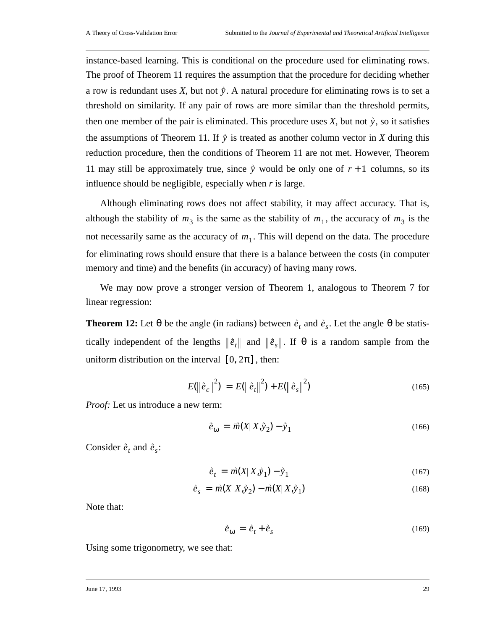instance-based learning. This is conditional on the procedure used for eliminating rows. The proof of Theorem 11 requires the assumption that the procedure for deciding whether a row is redundant uses  $X$ , but not  $\tilde{y}$ . A natural procedure for eliminating rows is to set a threshold on similarity. If any pair of rows are more similar than the threshold permits, then one member of the pair is eliminated. This procedure uses  $X$ , but not  $\hat{y}$ , so it satisfies the assumptions of Theorem 11. If  $\tilde{y}$  is treated as another column vector in *X* during this reduction procedure, then the conditions of Theorem 11 are not met. However, Theorem 11 may still be approximately true, since  $\dot{y}$  would be only one of  $r + 1$  columns, so its influence should be negligible, especially when *r* is large.

Although eliminating rows does not affect stability, it may affect accuracy. That is, although the stability of  $m_3$  is the same as the stability of  $m_1$ , the accuracy of  $m_3$  is the not necessarily same as the accuracy of  $m_1$ . This will depend on the data. The procedure for eliminating rows should ensure that there is a balance between the costs (in computer memory and time) and the benefits (in accuracy) of having many rows.

We may now prove a stronger version of Theorem 1, analogous to Theorem 7 for linear regression:

**Theorem 12:** Let  $\theta$  be the angle (in radians) between  $\dot{\vec{e}}_t$  and  $\dot{\vec{e}}_s$ . Let the angle  $\theta$  be statistically independent of the lengths  $\|\dot{e}_t\|$  and  $\|\dot{e}_s\|$ . If  $\theta$  is a random sample from the uniform distribution on the interval  $[0, 2\pi]$ , then:

$$
E(||\dot{e}_c||^2) = E(||\dot{e}_t||^2) + E(||\dot{e}_s||^2)
$$
\n(165)

*Proof:* Let us introduce a new term:

$$
\dot{e}_{\omega} = \vec{m}(X|X,\dot{y}_2) - \dot{y}_1
$$
\n(166)

Consider  $\vec{e}_t$  and  $\vec{e}_s$ :

$$
\dot{e}_t = \vec{m}(X|X,\hat{y}_1) - \hat{y}_1 \tag{167}
$$

$$
\dot{\vec{e}}_s = \vec{m}(X|X,\dot{y}_2) - \vec{m}(X|X,\dot{y}_1)
$$
\n(168)

Note that:

$$
\dot{\vec{e}}_{\omega} = \dot{\vec{e}}_t + \dot{\vec{e}}_s \tag{169}
$$

Using some trigonometry, we see that: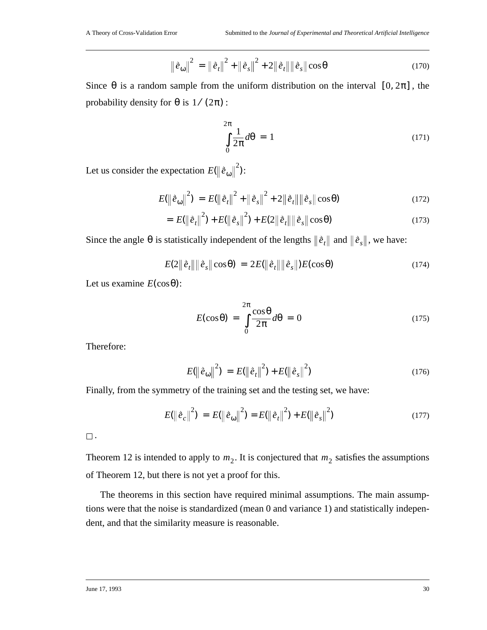$$
\left\|\hat{e}_{\omega}\right\|^{2} = \left\|\hat{e}_{t}\right\|^{2} + \left\|\hat{e}_{s}\right\|^{2} + 2\left\|\hat{e}_{t}\right\| \left\|\hat{e}_{s}\right\| \cos \theta \tag{170}
$$

Since  $\theta$  is a random sample from the uniform distribution on the interval  $[0, 2\pi]$ , the probability density for  $\theta$  is  $1/(2\pi)$ :

$$
\int_{0}^{2\pi} \frac{1}{2\pi} d\theta = 1
$$
\n(171)

Let us consider the expectation  $E(\|\hat{e}_{\omega}\|^{2})$ :

$$
E(||\hat{e}_{\omega}||^{2}) = E(||\hat{e}_{t}||^{2} + ||\hat{e}_{s}||^{2} + 2||\hat{e}_{t}|| ||\hat{e}_{s}||\cos\theta)
$$
 (172)

$$
= E(||\hat{e}_t||^2) + E(||\hat{e}_s||^2) + E(2||\hat{e}_t|| ||\hat{e}_s|| \cos \theta)
$$
\n(173)

Since the angle  $\theta$  is statistically independent of the lengths  $\|\hat{e}_t\|$  and  $\|\hat{e}_s\|$ , we have:

$$
E(2\|\dot{e}_t\|\|\dot{e}_s\|\cos\theta) = 2E(\|\dot{e}_t\|\|\dot{e}_s\|)E(\cos\theta)
$$
\n(174)

Let us examine  $E(\cos \theta)$ :

$$
E(\cos \theta) = \int_{0}^{2\pi} \frac{\cos \theta}{2\pi} d\theta = 0
$$
 (175)

Therefore:

$$
E(||\hat{e}_{\omega}||^{2}) = E(||\hat{e}_{t}||^{2}) + E(||\hat{e}_{s}||^{2})
$$
\n(176)

Finally, from the symmetry of the training set and the testing set, we have:

$$
E(||\dot{\vec{e}}_c||^2) = E(||\dot{\vec{e}}_{\omega}||^2) = E(||\dot{\vec{e}}_t||^2) + E(||\dot{\vec{e}}_s||^2)
$$
\n(177)

 $\square$  .

Theorem 12 is intended to apply to  $m_2$ . It is conjectured that  $m_2$  satisfies the assumptions of Theorem 12, but there is not yet a proof for this.

The theorems in this section have required minimal assumptions. The main assumptions were that the noise is standardized (mean 0 and variance 1) and statistically independent, and that the similarity measure is reasonable.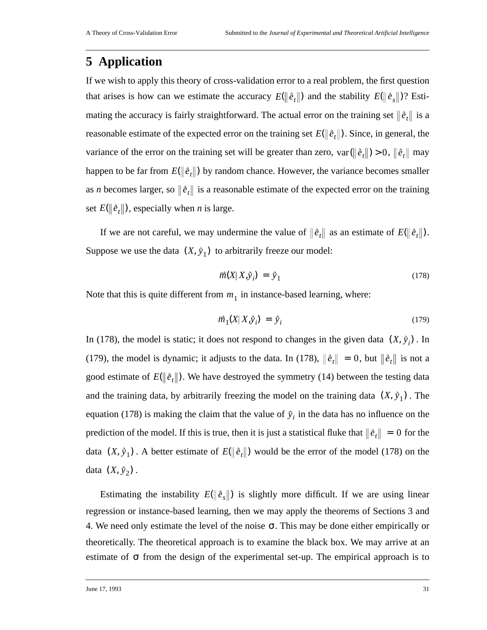## **5 Application**

If we wish to apply this theory of cross-validation error to a real problem, the first question that arises is how can we estimate the accuracy  $E(\|\hat{e}_t\|)$  and the stability  $E(\|\hat{e}_s\|)$ ? Estimating the accuracy is fairly straightforward. The actual error on the training set  $\|\dot{e}_t\|$  is a reasonable estimate of the expected error on the training set  $E(\|\dot{\vec{e}}_t\|)$ . Since, in general, the variance of the error on the training set will be greater than zero,  $var(\Vert \hat{e}_t \Vert) > 0$ ,  $\Vert \hat{e}_t \Vert$  may happen to be far from  $E(\|\tilde{e}_t\|)$  by random chance. However, the variance becomes smaller as *n* becomes larger, so  $\|\vec{e}_t\|$  is a reasonable estimate of the expected error on the training set  $E(\|\tilde{e}_t\|)$ , especially when *n* is large.

If we are not careful, we may undermine the value of  $\|\tilde{e}_t\|$  as an estimate of  $E(\|\tilde{e}_t\|)$ . Suppose we use the data  $(X, \hat{y}_1)$  to arbitrarily freeze our model:

$$
\vec{m}(X|X,\vec{y}_i) = \vec{y}_1 \tag{178}
$$

Note that this is quite different from  $m_1$  in instance-based learning, where:

$$
\vec{m}_1(X|X,\vec{y}_i) = \vec{y}_i \tag{179}
$$

In (178), the model is static; it does not respond to changes in the given data  $(X, \hat{y}_i)$ . In (179), the model is dynamic; it adjusts to the data. In (178),  $\|\hat{e}_t\| = 0$ , but  $\|\hat{e}_t\|$  is not a good estimate of  $E(\|\dot{e}_t\|)$ . We have destroyed the symmetry (14) between the testing data and the training data, by arbitrarily freezing the model on the training data  $(X, \hat{y}_1)$ . The equation (178) is making the claim that the value of  $\hat{y}_i$  in the data has no influence on the prediction of the model. If this is true, then it is just a statistical fluke that  $\|\dot{e}_t\| = 0$  for the data  $(X, \hat{y}_1)$ . A better estimate of  $E(\|\hat{e}_t\|)$  would be the error of the model (178) on the data  $(X, \hat{y}_2)$ .

Estimating the instability  $E(\|\tilde{e}_s\|)$  is slightly more difficult. If we are using linear regression or instance-based learning, then we may apply the theorems of Sections 3 and 4. We need only estimate the level of the noise  $\sigma$ . This may be done either empirically or theoretically. The theoretical approach is to examine the black box. We may arrive at an estimate of  $\sigma$  from the design of the experimental set-up. The empirical approach is to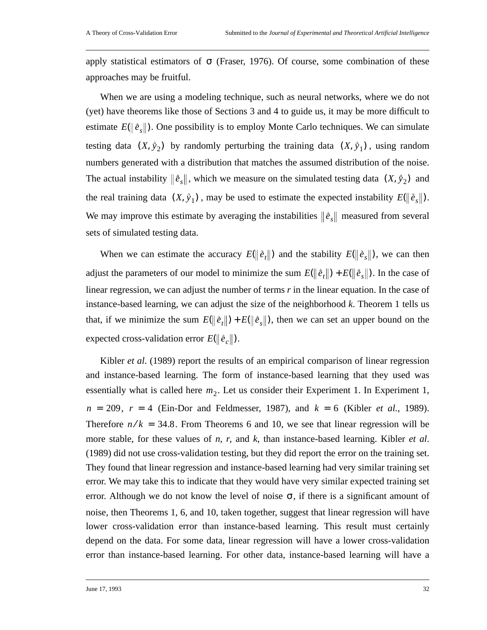apply statistical estimators of  $\sigma$  (Fraser, 1976). Of course, some combination of these approaches may be fruitful.

When we are using a modeling technique, such as neural networks, where we do not (yet) have theorems like those of Sections 3 and 4 to guide us, it may be more difficult to estimate  $E(\|\tilde{e}_s\|)$ . One possibility is to employ Monte Carlo techniques. We can simulate testing data  $(X, \hat{y}_2)$  by randomly perturbing the training data  $(X, \hat{y}_1)$ , using random numbers generated with a distribution that matches the assumed distribution of the noise. The actual instability  $\|\tilde{e}_s\|$ , which we measure on the simulated testing data  $(X, \tilde{y}_2)$  and the real training data  $(X, \hat{y}_1)$ , may be used to estimate the expected instability  $E(\|\hat{e}_s\|)$ . We may improve this estimate by averaging the instabilities  $\|\hat{e}_s\|$  measured from several sets of simulated testing data.

When we can estimate the accuracy  $E(\|\tilde{e}_t\|)$  and the stability  $E(\|\tilde{e}_s\|)$ , we can then adjust the parameters of our model to minimize the sum  $E(||\hat{e}_t||) + E(||\hat{e}_s||)$ . In the case of linear regression, we can adjust the number of terms *r* in the linear equation. In the case of instance-based learning, we can adjust the size of the neighborhood *k*. Theorem 1 tells us that, if we minimize the sum  $E(\|\hat{e}_t\|) + E(\|\hat{e}_s\|)$ , then we can set an upper bound on the expected cross-validation error  $E(\|\tilde{e}_c\|)$ .

Kibler *et al*. (1989) report the results of an empirical comparison of linear regression and instance-based learning. The form of instance-based learning that they used was essentially what is called here  $m_2$ . Let us consider their Experiment 1. In Experiment 1,  $n = 209$ ,  $r = 4$  (Ein-Dor and Feldmesser, 1987), and  $k = 6$  (Kibler *et al.*, 1989). Therefore  $n/k = 34.8$ . From Theorems 6 and 10, we see that linear regression will be more stable, for these values of *n*, *r*, and *k*, than instance-based learning. Kibler *et al*. (1989) did not use cross-validation testing, but they did report the error on the training set. They found that linear regression and instance-based learning had very similar training set error. We may take this to indicate that they would have very similar expected training set error. Although we do not know the level of noise  $\sigma$ , if there is a significant amount of noise, then Theorems 1, 6, and 10, taken together, suggest that linear regression will have lower cross-validation error than instance-based learning. This result must certainly depend on the data. For some data, linear regression will have a lower cross-validation error than instance-based learning. For other data, instance-based learning will have a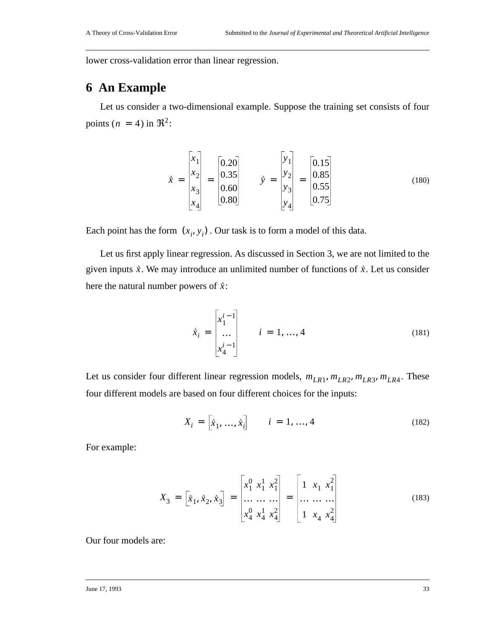lower cross-validation error than linear regression.

## **6 An Example**

Let us consider a two-dimensional example. Suppose the training set consists of four points  $(n = 4)$  in  $\mathfrak{R}^2$ :

$$
\vec{x} = \begin{bmatrix} x_1 \\ x_2 \\ x_3 \\ x_4 \end{bmatrix} = \begin{bmatrix} 0.20 \\ 0.35 \\ 0.60 \\ 0.80 \end{bmatrix} \qquad \vec{y} = \begin{bmatrix} y_1 \\ y_2 \\ y_3 \\ y_4 \end{bmatrix} = \begin{bmatrix} 0.15 \\ 0.85 \\ 0.55 \\ 0.75 \end{bmatrix}
$$
(180)

Each point has the form  $(x_i, y_i)$ . Our task is to form a model of this data.

Let us first apply linear regression. As discussed in Section 3, we are not limited to the given inputs  $\dot{x}$ . We may introduce an unlimited number of functions of  $\dot{x}$ . Let us consider here the natural number powers of  $\dot{x}$ :

$$
\tilde{x}_i = \begin{bmatrix} x_1^{i-1} \\ \dots \\ x_4^{i-1} \end{bmatrix} \qquad i = 1, ..., 4
$$
\n(181)

Let us consider four different linear regression models,  $m_{LR1}$ ,  $m_{LR2}$ ,  $m_{LR3}$ ,  $m_{LR4}$ . These four different models are based on four different choices for the inputs:

$$
X_i = \begin{bmatrix} \hat{x}_1, \dots, \hat{x}_i \end{bmatrix} \qquad i = 1, \dots, 4
$$
 (182)

For example:

$$
X_3 = \begin{bmatrix} \hat{x}_1, \hat{x}_2, \hat{x}_3 \end{bmatrix} = \begin{bmatrix} x_1^0 & x_1^1 & x_1^2 \\ \dots & \dots & \dots \\ x_4^0 & x_4^1 & x_4^2 \end{bmatrix} = \begin{bmatrix} 1 & x_1 & x_1^2 \\ \dots & \dots & \dots \\ 1 & x_4 & x_4^2 \end{bmatrix}
$$
(183)

Our four models are: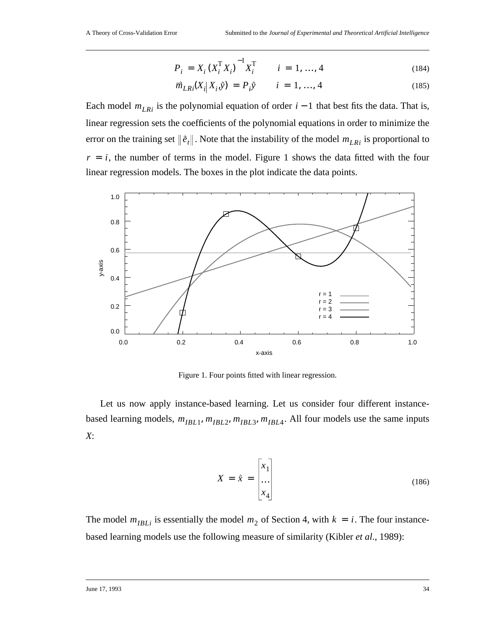$$
P_i = X_i (X_i^{\mathrm{T}} X_i)^{-1} X_i^{\mathrm{T}} \qquad i = 1, ..., 4
$$
 (184)

$$
\vec{m}_{LRi}(X_i|X_i,\hat{y}) = P_i \hat{y} \qquad i = 1, ..., 4
$$
\n(185)

Each model  $m_{LRi}$  is the polynomial equation of order  $i - 1$  that best fits the data. That is, linear regression sets the coefficients of the polynomial equations in order to minimize the error on the training set  $\|\dot{\vec{e}}_t\|$  . Note that the instability of the model  $m_{LRi}$  is proportional to  $r = i$ , the number of terms in the model. Figure 1 shows the data fitted with the four linear regression models. The boxes in the plot indicate the data points.



Figure 1. Four points fitted with linear regression.

Let us now apply instance-based learning. Let us consider four different instancebased learning models,  $m_{IBL1}$ ,  $m_{IBL2}$ ,  $m_{IBL3}$ ,  $m_{IBL4}$ . All four models use the same inputs *X*:

$$
X = \tilde{x} = \begin{bmatrix} x_1 \\ \dots \\ x_4 \end{bmatrix}
$$
 (186)

The model  $m_{IBLi}$  is essentially the model  $m_2$  of Section 4, with  $k = i$ . The four instancebased learning models use the following measure of similarity (Kibler *et al*., 1989):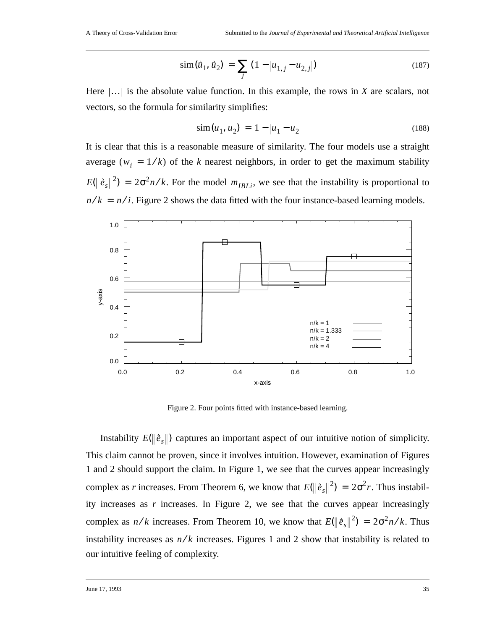$$
\text{sim}(\vec{u}_1, \vec{u}_2) = \sum_j (1 - |u_{1,j} - u_{2,j}|) \tag{187}
$$

Here  $\left| \ldots \right|$  is the absolute value function. In this example, the rows in *X* are scalars, not vectors, so the formula for similarity simplifies:

$$
\text{sim}(u_1, u_2) = 1 - |u_1 - u_2| \tag{188}
$$

It is clear that this is a reasonable measure of similarity. The four models use a straight average ( $w_i = 1/k$ ) of the *k* nearest neighbors, in order to get the maximum stability  $E(||\hat{e}_s||^2) = 2\sigma^2 n/k$ . For the model  $m_{IBLi}$ , we see that the instability is proportional to  $n/k = n/i$ . Figure 2 shows the data fitted with the four instance-based learning models.



Figure 2. Four points fitted with instance-based learning.

Instability  $E(\|\hat{e}_s\|)$  captures an important aspect of our intuitive notion of simplicity. This claim cannot be proven, since it involves intuition. However, examination of Figures 1 and 2 should support the claim. In Figure 1, we see that the curves appear increasingly complex as *r* increases. From Theorem 6, we know that  $E(\|\hat{e}_s\|^2) = 2\sigma^2 r$ . Thus instability increases as *r* increases. In Figure 2, we see that the curves appear increasingly complex as  $n/k$  increases. From Theorem 10, we know that  $E(\|\hat{e}_s\|^2) = 2\sigma^2 n/k$ . Thus instability increases as  $n/k$  increases. Figures 1 and 2 show that instability is related to our intuitive feeling of complexity.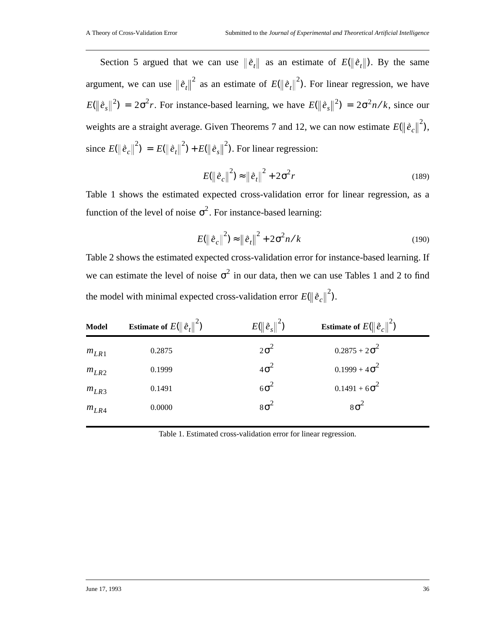Section 5 argued that we can use  $\|\dot{e}_t\|$  as an estimate of  $E(\|\dot{e}_t\|)$ . By the same argument, we can use  $\|\tilde{e}_t\|^2$  as an estimate of  $E(\|\tilde{e}_t\|^2)$ . For linear regression, we have  $E(\|\hat{e}_s\|^2) = 2\sigma^2 r$ . For instance-based learning, we have  $E(\|\hat{e}_s\|^2) = 2\sigma^2 n/k$ , since our weights are a straight average. Given Theorems 7 and 12, we can now estimate  $E(\|\tilde{e}_c\|^2)$ , since  $E(\|\tilde{e}_c\|^2) = E(\|\tilde{e}_t\|^2) + E(\|\tilde{e}_s\|^2)$ . For linear regression:

$$
E(||\vec{e}_c||^2) \approx ||\vec{e}_t||^2 + 2\sigma^2 r \tag{189}
$$

Table 1 shows the estimated expected cross-validation error for linear regression, as a function of the level of noise  $\sigma^2$ . For instance-based learning:

$$
E(||\dot{e}_c||^2) \approx ||\dot{e}_t||^2 + 2\sigma^2 n/k
$$
 (190)

Table 2 shows the estimated expected cross-validation error for instance-based learning. If we can estimate the level of noise  $\sigma^2$  in our data, then we can use Tables 1 and 2 to find the model with minimal expected cross-validation error  $E(\|\tilde{e}_c\|^2)$ .

| <b>Model</b> | <b>Estimate of</b> $E(\ \tilde{e}_t\ ^2)$ | $E(\ \tilde{e}_s\ ^2)$ | <b>Estimate of</b> $E(\ \vec{e}_c\ ^2)$ |
|--------------|-------------------------------------------|------------------------|-----------------------------------------|
| $m_{LR1}$    | 0.2875                                    | $2\sigma^2$            | $0.2875 + 2\sigma^2$                    |
| $m_{LR2}$    | 0.1999                                    | $4\sigma^2$            | $0.1999 + 4\sigma^2$                    |
| $m_{LR3}$    | 0.1491                                    | $6\sigma^2$            | $0.1491 + 6\sigma^2$                    |
| $m_{LR4}$    | 0.0000                                    | $8\sigma^2$            | $8\sigma^2$                             |

Table 1. Estimated cross-validation error for linear regression.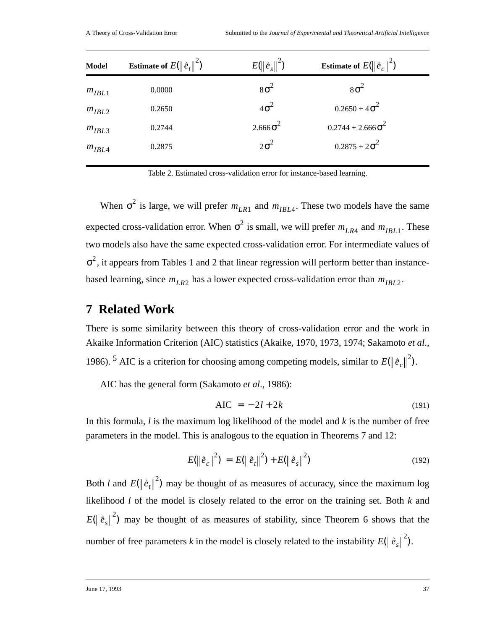| <b>Model</b> | <b>Estimate of</b> $E(\ \hat{e}_t\ ^2)$ | $E(\ \vec{e}_{s}\ ^{2})$ | <b>Estimate of</b> $E(\ \hat{e}_c\ ^2)$ |
|--------------|-----------------------------------------|--------------------------|-----------------------------------------|
| $m_{IBL1}$   | 0.0000                                  | $8\sigma^2$              | $8\sigma^2$                             |
| $m_{IBL2}$   | 0.2650                                  | $4\sigma^2$              | $0.2650 + 4\sigma^2$                    |
| $m_{IBL3}$   | 0.2744                                  | $2.666\sigma^2$          | $0.2744 + 2.666 \sigma^2$               |
| $m_{IBL4}$   | 0.2875                                  | $2\sigma^2$              | $0.2875 + 2\sigma^2$                    |

Table 2. Estimated cross-validation error for instance-based learning.

When  $\sigma^2$  is large, we will prefer  $m_{LR1}$  and  $m_{IBL4}$ . These two models have the same expected cross-validation error. When  $\sigma^2$  is small, we will prefer  $m_{LR4}$  and  $m_{IBL1}$ . These two models also have the same expected cross-validation error. For intermediate values of  $\sigma^2$ , it appears from Tables 1 and 2 that linear regression will perform better than instancebased learning, since  $m_{LR2}$  has a lower expected cross-validation error than  $m_{IBL2}$ .

#### **7 Related Work**

There is some similarity between this theory of cross-validation error and the work in Akaike Information Criterion (AIC) statistics (Akaike, 1970, 1973, 1974; Sakamoto *et al*., 1986). <sup>5</sup> AIC is a criterion for choosing among competing models, similar to  $E(\|\hat{e}_c\|^2)$ .

AIC has the general form (Sakamoto *et al*., 1986):

$$
AIC = -2l + 2k \tag{191}
$$

In this formula, *l* is the maximum log likelihood of the model and *k* is the number of free parameters in the model. This is analogous to the equation in Theorems 7 and 12:

$$
E(||\dot{e}_c||^2) = E(||\dot{e}_t||^2) + E(||\dot{e}_s||^2)
$$
\n(192)

Both *l* and  $E(\|\tilde{e}_t\|^2)$  may be thought of as measures of accuracy, since the maximum log likelihood *l* of the model is closely related to the error on the training set. Both *k* and  $E(\|\hat{e}_s\|^2)$  may be thought of as measures of stability, since Theorem 6 shows that the number of free parameters *k* in the model is closely related to the instability  $E(\|\hat{e}_s\|^2)$ .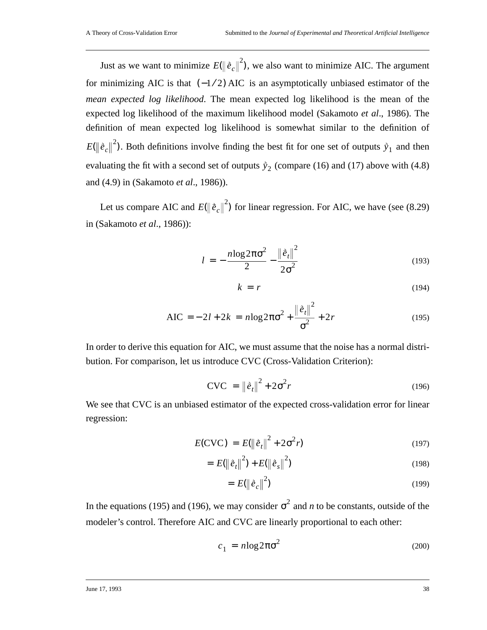Just as we want to minimize  $E(\|\hat{e}_c\|^2)$ , we also want to minimize AIC. The argument for minimizing AIC is that  $(-1/2)$  AIC is an asymptotically unbiased estimator of the *mean expected log likelihood*. The mean expected log likelihood is the mean of the expected log likelihood of the maximum likelihood model (Sakamoto *et al*., 1986). The definition of mean expected log likelihood is somewhat similar to the definition of  $E(\|\tilde{e}_c\|^2)$ . Both definitions involve finding the best fit for one set of outputs  $\tilde{y}_1$  and then evaluating the fit with a second set of outputs  $\dot{y}_2$  (compare (16) and (17) above with (4.8) and (4.9) in (Sakamoto *et al*., 1986)).

Let us compare AIC and  $E(\|\tilde{e}_c\|^2)$  for linear regression. For AIC, we have (see (8.29) in (Sakamoto *et al*., 1986)):

$$
l = -\frac{n \log 2\pi \sigma^2}{2} - \frac{\left\|\dot{e}_t\right\|^2}{2\sigma^2} \tag{193}
$$

$$
k = r \tag{194}
$$

$$
AIC = -2l + 2k = n \log 2\pi \sigma^2 + \frac{\|\hat{e}_t\|^2}{\sigma^2} + 2r
$$
 (195)

In order to derive this equation for AIC, we must assume that the noise has a normal distribution. For comparison, let us introduce CVC (Cross-Validation Criterion):

$$
CVC = \left\|\tilde{e}_t\right\|^2 + 2\sigma^2 r \tag{196}
$$

We see that CVC is an unbiased estimator of the expected cross-validation error for linear regression:

$$
E(\text{CVC}) = E(||\hat{e}_t||^2 + 2\sigma^2 r)
$$
\n(197)

$$
= E(||\vec{e}_t||^2) + E(||\vec{e}_s||^2)
$$
\n(198)

$$
= E(\left\|\vec{e}_c\right\|^2) \tag{199}
$$

In the equations (195) and (196), we may consider  $\sigma^2$  and *n* to be constants, outside of the modeler's control. Therefore AIC and CVC are linearly proportional to each other:

$$
c_1 = n \log 2\pi \sigma^2 \tag{200}
$$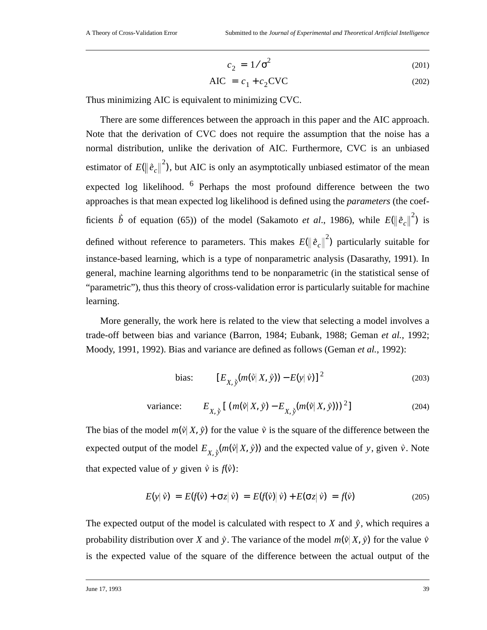$$
c_2 = 1/\sigma^2 \tag{201}
$$

$$
AIC = c_1 + c_2 CVC \tag{202}
$$

Thus minimizing AIC is equivalent to minimizing CVC.

There are some differences between the approach in this paper and the AIC approach. Note that the derivation of CVC does not require the assumption that the noise has a normal distribution, unlike the derivation of AIC. Furthermore, CVC is an unbiased estimator of  $E(\|\tilde{e}_c\|^2)$ , but AIC is only an asymptotically unbiased estimator of the mean expected log likelihood.  $6$  Perhaps the most profound difference between the two approaches is that mean expected log likelihood is defined using the *parameters* (the coefficients  $\vec{b}$  of equation (65)) of the model (Sakamoto *et al.*, 1986), while  $E(\|\vec{e}_c\|^2)$  is defined without reference to parameters. This makes  $E(\left\|\hat{\bm{e}}_c\right\|^2)$  particularly suitable for instance-based learning, which is a type of nonparametric analysis (Dasarathy, 1991). In general, machine learning algorithms tend to be nonparametric (in the statistical sense of "parametric"), thus this theory of cross-validation error is particularly suitable for machine learning.

More generally, the work here is related to the view that selecting a model involves a trade-off between bias and variance (Barron, 1984; Eubank, 1988; Geman *et al.*, 1992; Moody, 1991, 1992). Bias and variance are defined as follows (Geman *et al.*, 1992):

bias: 
$$
[E_{X, \hat{y}}(m(\hat{v}|X, \hat{y})) - E(y|\hat{v})]^2
$$
 (203)

variance: 
$$
E_{X, \hat{y}} [ (m(\hat{v}|X, \hat{y}) - E_{X, \hat{y}}(m(\hat{v}|X, \hat{y})))^2 ]
$$
 (204)

The bias of the model  $m(\vec{v} | X, \vec{y})$  for the value  $\vec{v}$  is the square of the difference between the expected output of the model  $E_{X, \hat{y}}(m(\vec{v} | X, \vec{y}))$  and the expected value of y, given  $\hat{v}$ . Note that expected value of y given  $\vec{v}$  is  $f(\vec{v})$ :

$$
E(y|\tilde{v}) = E(f(\tilde{v}) + \sigma z|\tilde{v}) = E(f(\tilde{v})|\tilde{v}) + E(\sigma z|\tilde{v}) = f(\tilde{v})
$$
\n(205)

The expected output of the model is calculated with respect to  $X$  and  $\dot{y}$ , which requires a probability distribution over X and  $\tilde{y}$ . The variance of the model  $m(\tilde{v} | X, \tilde{y})$  for the value  $\tilde{v}$ is the expected value of the square of the difference between the actual output of the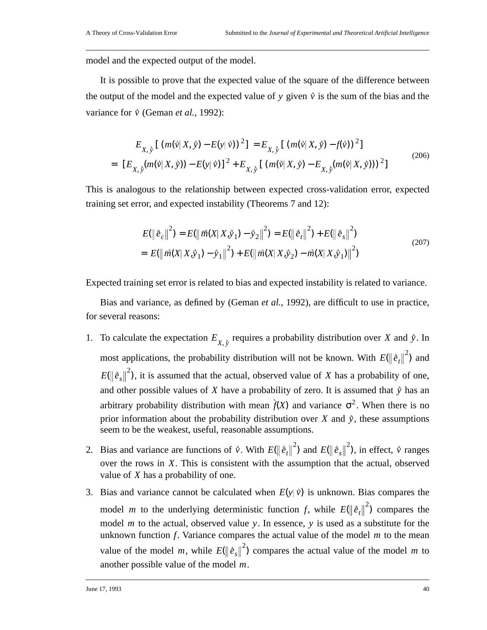model and the expected output of the model.

It is possible to prove that the expected value of the square of the difference between the output of the model and the expected value of y given  $\dot{v}$  is the sum of the bias and the variance for  $\vec{v}$  (Geman *et al.*, 1992):

$$
E_{X, \hat{y}} \left[ (m(\hat{v} | X, \hat{y}) - E(y | \hat{v}))^{2} \right] = E_{X, \hat{y}} \left[ (m(\hat{v} | X, \hat{y}) - f(\hat{v}))^{2} \right]
$$
  
= 
$$
[E_{X, \hat{y}}(m(\hat{v} | X, \hat{y})) - E(y | \hat{v})]^{2} + E_{X, \hat{y}} \left[ (m(\hat{v} | X, \hat{y}) - E_{X, \hat{y}}(m(\hat{v} | X, \hat{y})))^{2} \right]
$$
 (206)

This is analogous to the relationship between expected cross-validation error, expected training set error, and expected instability (Theorems 7 and 12):

$$
E(||\hat{e}_c||^2) = E(||\vec{m}(X|X,\hat{y}_1) - \hat{y}_2||^2) = E(||\hat{e}_t||^2) + E(||\hat{e}_s||^2)
$$
  
= 
$$
E(||\vec{m}(X|X,\hat{y}_1) - \hat{y}_1||^2) + E(||\vec{m}(X|X,\hat{y}_2) - \vec{m}(X|X,\hat{y}_1)||^2)
$$
 (207)

Expected training set error is related to bias and expected instability is related to variance.

Bias and variance, as defined by (Geman *et al.*, 1992), are difficult to use in practice, for several reasons:

- 1. To calculate the expectation  $E_{X, \hat{y}}$  requires a probability distribution over X and  $\hat{y}$ . In most applications, the probability distribution will not be known. With  $E(\|\tilde{e}_t\|^2)$  and  $E(\|\tilde{e}_s\|^2)$ , it is assumed that the actual, observed value of X has a probability of one, and other possible values of X have a probability of zero. It is assumed that  $\dot{y}$  has an arbitrary probability distribution with mean  $\hat{f}(X)$  and variance  $\sigma^2$ . When there is no prior information about the probability distribution over  $X$  and  $\hat{y}$ , these assumptions seem to be the weakest, useful, reasonable assumptions.
- 2. Bias and variance are functions of  $\vec{v}$ . With  $E(||\vec{e}_t||^2)$  and  $E(||\vec{e}_s||^2)$ , in effect,  $\vec{v}$  ranges over the rows in X. This is consistent with the assumption that the actual, observed value of X has a probability of one.
- 3. Bias and variance cannot be calculated when  $E(y | \vec{v})$  is unknown. Bias compares the model *m* to the underlying deterministic function f, while  $E(\|\hat{e}_t\|^2)$  compares the model  $m$  to the actual, observed value  $y$ . In essence,  $y$  is used as a substitute for the unknown function  $f$ . Variance compares the actual value of the model  $m$  to the mean value of the model m, while  $E(\|\hat{e}_s\|^2)$  compares the actual value of the model m to another possible value of the model  $m$ .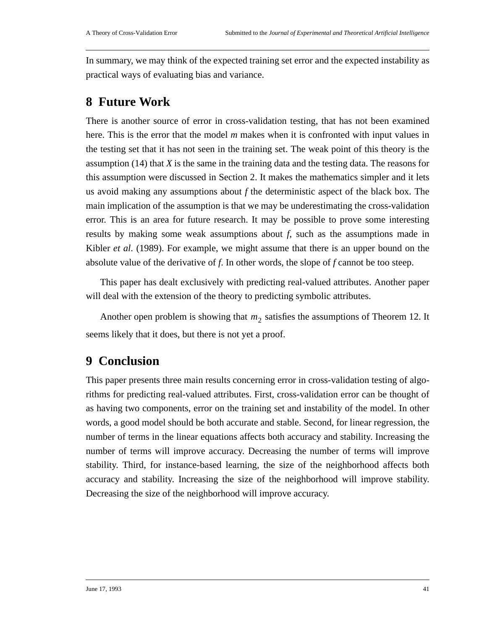In summary, we may think of the expected training set error and the expected instability as practical ways of evaluating bias and variance.

## **8 Future Work**

There is another source of error in cross-validation testing, that has not been examined here. This is the error that the model *m* makes when it is confronted with input values in the testing set that it has not seen in the training set. The weak point of this theory is the assumption (14) that *X* is the same in the training data and the testing data. The reasons for this assumption were discussed in Section 2. It makes the mathematics simpler and it lets us avoid making any assumptions about *f* the deterministic aspect of the black box. The main implication of the assumption is that we may be underestimating the cross-validation error. This is an area for future research. It may be possible to prove some interesting results by making some weak assumptions about *f*, such as the assumptions made in Kibler *et al*. (1989). For example, we might assume that there is an upper bound on the absolute value of the derivative of *f*. In other words, the slope of *f* cannot be too steep.

This paper has dealt exclusively with predicting real-valued attributes. Another paper will deal with the extension of the theory to predicting symbolic attributes.

Another open problem is showing that  $m_2$  satisfies the assumptions of Theorem 12. It seems likely that it does, but there is not yet a proof.

## **9 Conclusion**

This paper presents three main results concerning error in cross-validation testing of algorithms for predicting real-valued attributes. First, cross-validation error can be thought of as having two components, error on the training set and instability of the model. In other words, a good model should be both accurate and stable. Second, for linear regression, the number of terms in the linear equations affects both accuracy and stability. Increasing the number of terms will improve accuracy. Decreasing the number of terms will improve stability. Third, for instance-based learning, the size of the neighborhood affects both accuracy and stability. Increasing the size of the neighborhood will improve stability. Decreasing the size of the neighborhood will improve accuracy.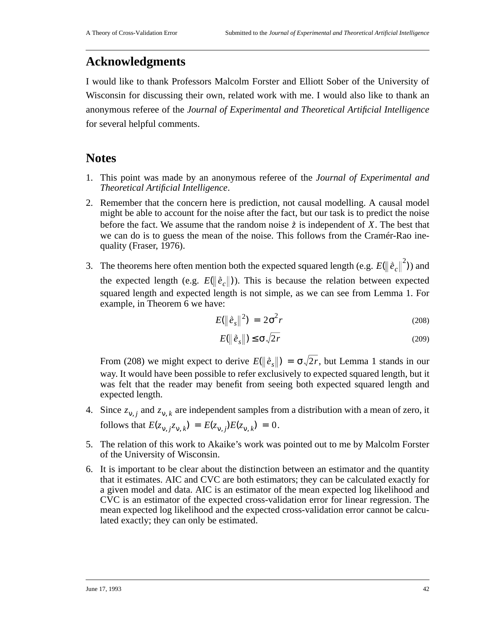## **Acknowledgments**

I would like to thank Professors Malcolm Forster and Elliott Sober of the University of Wisconsin for discussing their own, related work with me. I would also like to thank an anonymous referee of the *Journal of Experimental and Theoretical Artificial Intelligence* for several helpful comments.

## **Notes**

- 1. This point was made by an anonymous referee of the *Journal of Experimental and Theoretical Artificial Intelligence*.
- 2. Remember that the concern here is prediction, not causal modelling. A causal model might be able to account for the noise after the fact, but our task is to predict the noise before the fact. We assume that the random noise  $\dot{z}$  is independent of X. The best that we can do is to guess the mean of the noise. This follows from the Cramér-Rao inequality (Fraser, 1976).
- 3. The theorems here often mention both the expected squared length (e.g.  $E(||\hat{e}_c||^2)$ ) and the expected length (e.g.  $E(\|\tilde{e}_c\|)$ ). This is because the relation between expected squared length and expected length is not simple, as we can see from Lemma 1. For example, in Theorem 6 we have:

$$
E(\left\|\hat{e}_s\right\|^2) = 2\sigma^2 r \tag{208}
$$

$$
E(\left\|\hat{e}_s\right\|) \le \sigma \sqrt{2r} \tag{209}
$$

From (208) we might expect to derive  $E(\|\tilde{e}_s\|) = \sigma \sqrt{2r}$ , but Lemma 1 stands in our way. It would have been possible to refer exclusively to expected squared length, but it was felt that the reader may benefit from seeing both expected squared length and expected length.

- 4. Since  $z_{v,i}$  and  $z_{v,k}$  are independent samples from a distribution with a mean of zero, it follows that  $E(z_{v, j}z_{v, k}) = E(z_{v, j})E(z_{v, k}) = 0$ .
- 5. The relation of this work to Akaike's work was pointed out to me by Malcolm Forster of the University of Wisconsin.
- 6. It is important to be clear about the distinction between an estimator and the quantity that it estimates. AIC and CVC are both estimators; they can be calculated exactly for a given model and data. AIC is an estimator of the mean expected log likelihood and CVC is an estimator of the expected cross-validation error for linear regression. The mean expected log likelihood and the expected cross-validation error cannot be calculated exactly; they can only be estimated.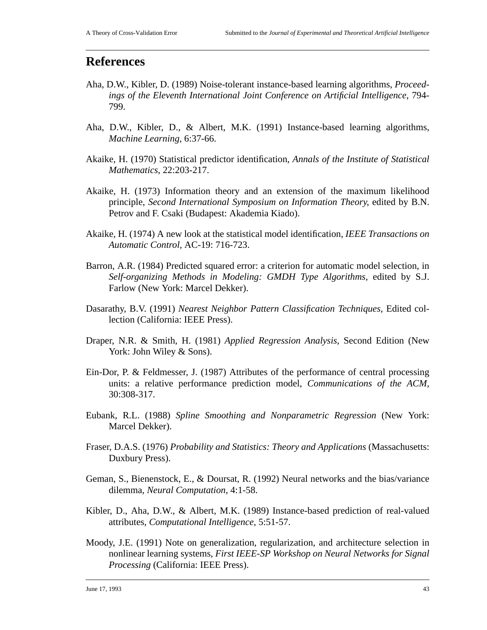#### **References**

- Aha, D.W., Kibler, D. (1989) Noise-tolerant instance-based learning algorithms, *Proceedings of the Eleventh International Joint Conference on Artificial Intelligence*, 794- 799.
- Aha, D.W., Kibler, D., & Albert, M.K. (1991) Instance-based learning algorithms, *Machine Learning*, 6:37-66.
- Akaike, H. (1970) Statistical predictor identification, *Annals of the Institute of Statistical Mathematics*, 22:203-217.
- Akaike, H. (1973) Information theory and an extension of the maximum likelihood principle, *Second International Symposium on Information Theory*, edited by B.N. Petrov and F. Csaki (Budapest: Akademia Kiado).
- Akaike, H. (1974) A new look at the statistical model identification, *IEEE Transactions on Automatic Control*, AC-19: 716-723.
- Barron, A.R. (1984) Predicted squared error: a criterion for automatic model selection, in *Self-organizing Methods in Modeling: GMDH Type Algorithms,* edited by S.J. Farlow (New York: Marcel Dekker).
- Dasarathy, B.V. (1991) *Nearest Neighbor Pattern Classification Techniques*, Edited collection (California: IEEE Press).
- Draper, N.R. & Smith, H. (1981) *Applied Regression Analysis*, Second Edition (New York: John Wiley & Sons).
- Ein-Dor, P. & Feldmesser, J. (1987) Attributes of the performance of central processing units: a relative performance prediction model, *Communications of the ACM*, 30:308-317.
- Eubank, R.L. (1988) *Spline Smoothing and Nonparametric Regression* (New York: Marcel Dekker).
- Fraser, D.A.S. (1976) *Probability and Statistics: Theory and Applications* (Massachusetts: Duxbury Press).
- Geman, S., Bienenstock, E., & Doursat, R. (1992) Neural networks and the bias/variance dilemma, *Neural Computation*, 4:1-58.
- Kibler, D., Aha, D.W., & Albert, M.K. (1989) Instance-based prediction of real-valued attributes, *Computational Intelligence*, 5:51-57.
- Moody, J.E. (1991) Note on generalization, regularization, and architecture selection in nonlinear learning systems, *First IEEE-SP Workshop on Neural Networks for Signal Processing* (California: IEEE Press).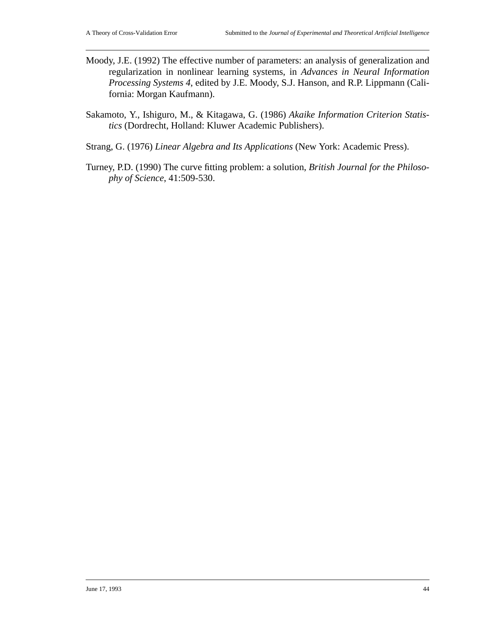- Moody, J.E. (1992) The effective number of parameters: an analysis of generalization and regularization in nonlinear learning systems, in *Advances in Neural Information Processing Systems 4*, edited by J.E. Moody, S.J. Hanson, and R.P. Lippmann (California: Morgan Kaufmann).
- Sakamoto, Y., Ishiguro, M., & Kitagawa, G. (1986) *Akaike Information Criterion Statistics* (Dordrecht, Holland: Kluwer Academic Publishers).
- Strang, G. (1976) *Linear Algebra and Its Applications* (New York: Academic Press).
- Turney, P.D. (1990) The curve fitting problem: a solution, *British Journal for the Philosophy of Science*, 41:509-530.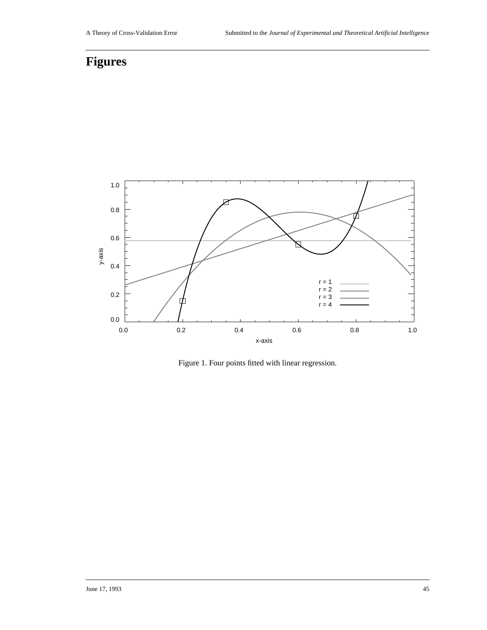## **Figures**



Figure 1. Four points fitted with linear regression.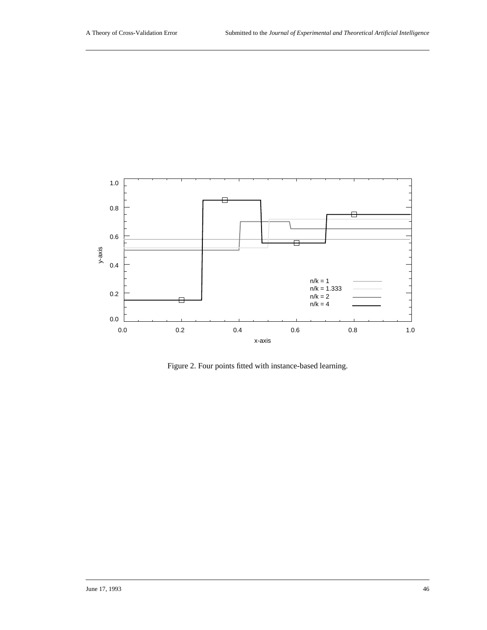

Figure 2. Four points fitted with instance-based learning.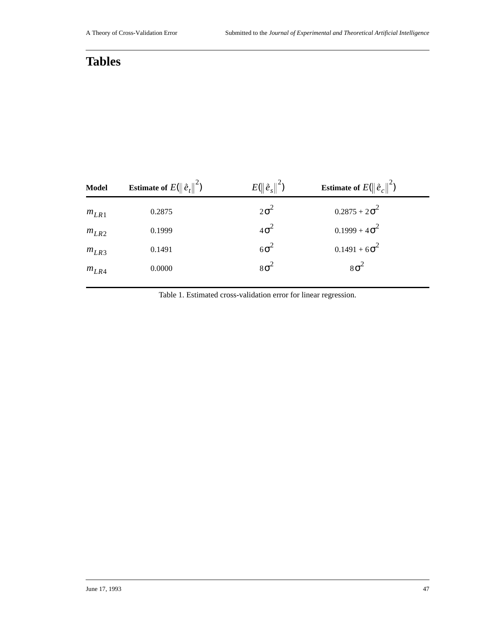## **Tables**

| <b>Model</b> | <b>Estimate of</b> $E(\ \hat{e}_t\ ^2)$ | $E(\ \vec{e}_{s}\ ^{2})$ | <b>Estimate of</b> $E(\ \vec{e}_c\ ^2)$ |
|--------------|-----------------------------------------|--------------------------|-----------------------------------------|
| $m_{LR1}$    | 0.2875                                  | $2\sigma^2$              | $0.2875 + 2\sigma^2$                    |
| $m_{LR2}$    | 0.1999                                  | $4\sigma^2$              | $0.1999 + 4\sigma^2$                    |
| $m_{LR3}$    | 0.1491                                  | $6\sigma^2$              | $0.1491 + 6\sigma^2$                    |
| $m_{LR4}$    | 0.0000                                  | $8\sigma^2$              | $8\sigma^2$                             |
|              |                                         |                          |                                         |

Table 1. Estimated cross-validation error for linear regression.